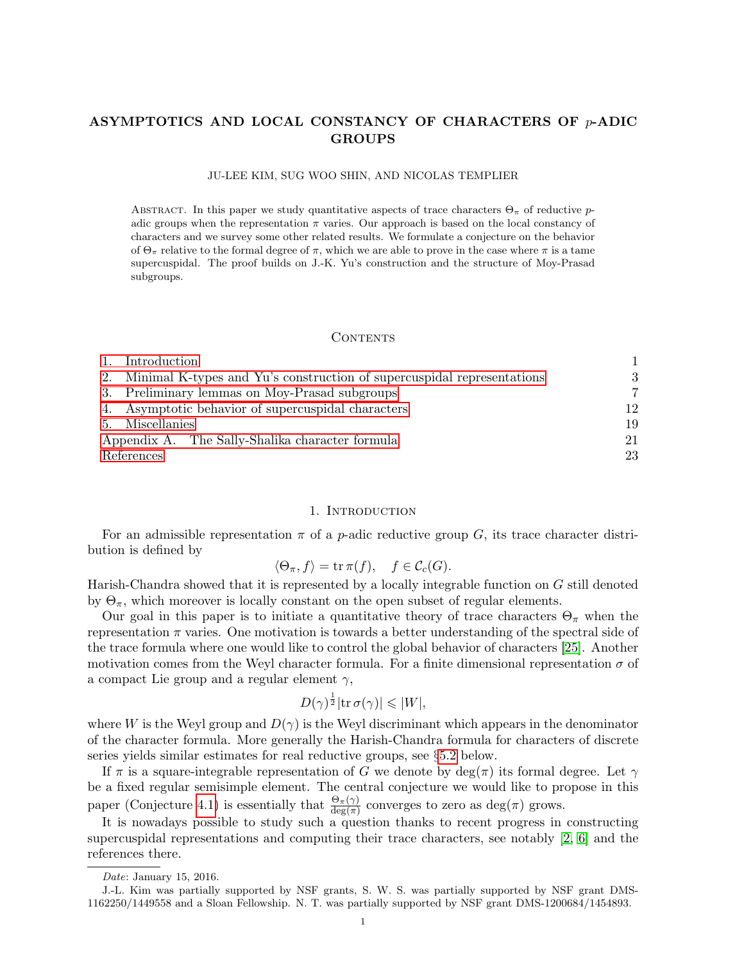# ASYMPTOTICS AND LOCAL CONSTANCY OF CHARACTERS OF p-ADIC GROUPS

JU-LEE KIM, SUG WOO SHIN, AND NICOLAS TEMPLIER

ABSTRACT. In this paper we study quantitative aspects of trace characters  $\Theta_{\pi}$  of reductive padic groups when the representation  $\pi$  varies. Our approach is based on the local constancy of characters and we survey some other related results. We formulate a conjecture on the behavior of  $\Theta_{\pi}$  relative to the formal degree of  $\pi$ , which we are able to prove in the case where  $\pi$  is a tame supercuspidal. The proof builds on J.-K. Yu's construction and the structure of Moy-Prasad subgroups.

# CONTENTS

|            | Introduction                                                              |    |
|------------|---------------------------------------------------------------------------|----|
|            | 2. Minimal K-types and Yu's construction of supercuspidal representations | 3  |
|            | 3. Preliminary lemmas on Moy-Prasad subgroups                             | 7  |
|            | 4. Asymptotic behavior of supercuspidal characters                        | 12 |
|            | 5. Miscellanies                                                           | 19 |
|            | Appendix A. The Sally-Shalika character formula                           | 21 |
| References |                                                                           | 23 |

## 1. Introduction

<span id="page-0-0"></span>For an admissible representation  $\pi$  of a *p*-adic reductive group G, its trace character distribution is defined by

$$
\langle \Theta_{\pi}, f \rangle = \operatorname{tr} \pi(f), \quad f \in \mathcal{C}_c(G).
$$

Harish-Chandra showed that it is represented by a locally integrable function on G still denoted by  $\Theta_{\pi}$ , which moreover is locally constant on the open subset of regular elements.

Our goal in this paper is to initiate a quantitative theory of trace characters  $\Theta_{\pi}$  when the representation  $\pi$  varies. One motivation is towards a better understanding of the spectral side of the trace formula where one would like to control the global behavior of characters [\[25\]](#page-23-0). Another motivation comes from the Weyl character formula. For a finite dimensional representation  $\sigma$  of a compact Lie group and a regular element  $\gamma$ ,

$$
D(\gamma)^{\frac{1}{2}}|\mathrm{tr}\,\sigma(\gamma)| \leqslant |W|,
$$

where W is the Weyl group and  $D(\gamma)$  is the Weyl discriminant which appears in the denominator of the character formula. More generally the Harish-Chandra formula for characters of discrete series yields similar estimates for real reductive groups, see §[5.2](#page-19-0) below.

If  $\pi$  is a square-integrable representation of G we denote by  $deg(\pi)$  its formal degree. Let  $\gamma$ be a fixed regular semisimple element. The central conjecture we would like to propose in this paper (Conjecture [4.1\)](#page-11-1) is essentially that  $\frac{\Theta_{\pi}(\gamma)}{\deg(\pi)}$  converges to zero as  $\deg(\pi)$  grows.

It is nowadays possible to study such a question thanks to recent progress in constructing supercuspidal representations and computing their trace characters, see notably [\[2,](#page-22-1) [6\]](#page-22-2) and the references there.

Date: January 15, 2016.

J.-L. Kim was partially supported by NSF grants, S. W. S. was partially supported by NSF grant DMS-1162250/1449558 and a Sloan Fellowship. N. T. was partially supported by NSF grant DMS-1200684/1454893.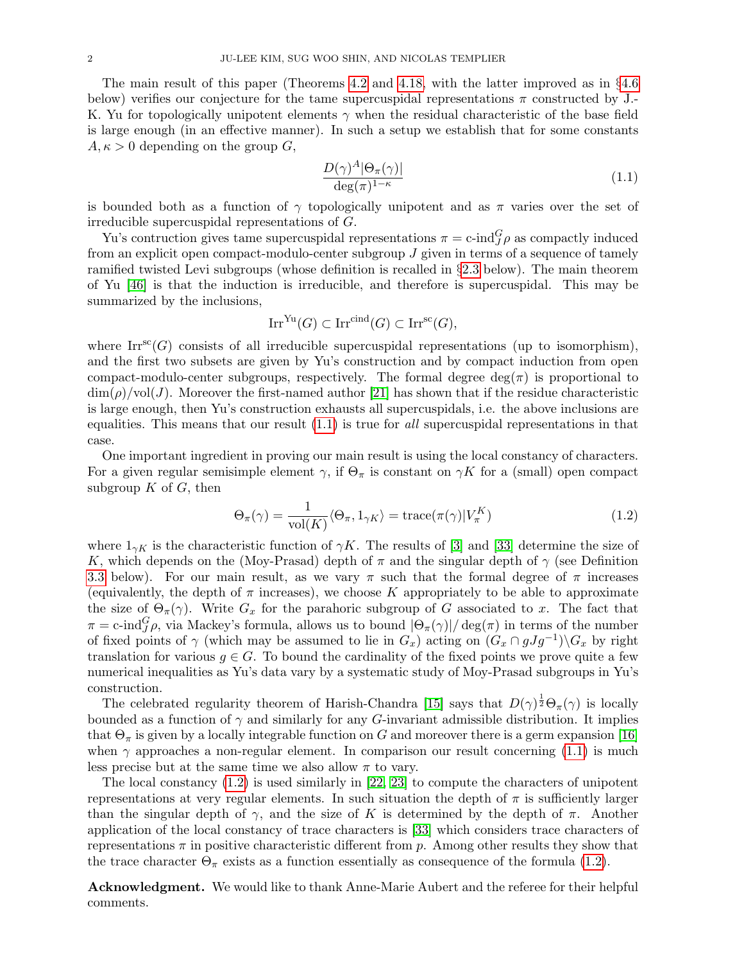The main result of this paper (Theorems [4.2](#page-11-2) and [4.18,](#page-18-1) with the latter improved as in §[4.6](#page-18-2) below) verifies our conjecture for the tame supercuspidal representations  $\pi$  constructed by J. K. Yu for topologically unipotent elements  $\gamma$  when the residual characteristic of the base field is large enough (in an effective manner). In such a setup we establish that for some constants  $A, \kappa > 0$  depending on the group  $G$ ,

<span id="page-1-0"></span>
$$
\frac{D(\gamma)^A |\Theta_\pi(\gamma)|}{\deg(\pi)^{1-\kappa}}\tag{1.1}
$$

is bounded both as a function of  $\gamma$  topologically unipotent and as  $\pi$  varies over the set of irreducible supercuspidal representations of G.

Yu's contruction gives tame supercuspidal representations  $\pi = c$ -ind $_G^G \rho$  as compactly induced from an explicit open compact-modulo-center subgroup  $J$  given in terms of a sequence of tamely ramified twisted Levi subgroups (whose definition is recalled in  $\S 2.3$  $\S 2.3$  below). The main theorem of Yu [\[46\]](#page-23-1) is that the induction is irreducible, and therefore is supercuspidal. This may be summarized by the inclusions,

$$
\operatorname{Irr}^{\operatorname{Yu}}(G) \subset \operatorname{Irr}^{\operatorname{cind}}(G) \subset \operatorname{Irr}^{\operatorname{sc}}(G),
$$

where  $\text{Irr}^{\text{sc}}(G)$  consists of all irreducible supercuspidal representations (up to isomorphism), and the first two subsets are given by Yu's construction and by compact induction from open compact-modulo-center subgroups, respectively. The formal degree  $\deg(\pi)$  is proportional to  $\dim(\rho)/\text{vol}(J)$ . Moreover the first-named author [\[21\]](#page-22-3) has shown that if the residue characteristic is large enough, then Yu's construction exhausts all supercuspidals, i.e. the above inclusions are equalities. This means that our result [\(1.1\)](#page-1-0) is true for all supercuspidal representations in that case.

One important ingredient in proving our main result is using the local constancy of characters. For a given regular semisimple element  $\gamma$ , if  $\Theta_{\pi}$  is constant on  $\gamma K$  for a (small) open compact subgroup  $K$  of  $G$ , then

<span id="page-1-1"></span>
$$
\Theta_{\pi}(\gamma) = \frac{1}{\text{vol}(K)} \langle \Theta_{\pi}, 1_{\gamma K} \rangle = \text{trace}(\pi(\gamma) | V_{\pi}^{K})
$$
\n(1.2)

where  $1_{\gamma K}$  is the characteristic function of  $\gamma K$ . The results of [\[3\]](#page-22-4) and [\[33\]](#page-23-2) determine the size of K, which depends on the (Moy-Prasad) depth of  $\pi$  and the singular depth of  $\gamma$  (see Definition [3.3](#page-7-0) below). For our main result, as we vary  $\pi$  such that the formal degree of  $\pi$  increases (equivalently, the depth of  $\pi$  increases), we choose K appropriately to be able to approximate the size of  $\Theta_{\pi}(\gamma)$ . Write  $G_x$  for the parahoric subgroup of G associated to x. The fact that  $\pi = \text{c-ind}_{J}^{G} \rho$ , via Mackey's formula, allows us to bound  $|\Theta_{\pi}(\gamma)|/ \deg(\pi)$  in terms of the number of fixed points of  $\gamma$  (which may be assumed to lie in  $G_x$ ) acting on  $(G_x \cap gJg^{-1})\backslash G_x$  by right translation for various  $q \in G$ . To bound the cardinality of the fixed points we prove quite a few numerical inequalities as Yu's data vary by a systematic study of Moy-Prasad subgroups in Yu's construction.

The celebrated regularity theorem of Harish-Chandra [\[15\]](#page-22-5) says that  $D(\gamma)^{\frac{1}{2}}\Theta_{\pi}(\gamma)$  is locally bounded as a function of  $\gamma$  and similarly for any G-invariant admissible distribution. It implies that  $\Theta_{\pi}$  is given by a locally integrable function on G and moreover there is a germ expansion [\[16\]](#page-22-6) when  $\gamma$  approaches a non-regular element. In comparison our result concerning [\(1.1\)](#page-1-0) is much less precise but at the same time we also allow  $\pi$  to vary.

The local constancy [\(1.2\)](#page-1-1) is used similarly in [\[22,](#page-22-7) [23\]](#page-23-3) to compute the characters of unipotent representations at very regular elements. In such situation the depth of  $\pi$  is sufficiently larger than the singular depth of  $\gamma$ , and the size of K is determined by the depth of  $\pi$ . Another application of the local constancy of trace characters is [\[33\]](#page-23-2) which considers trace characters of representations  $\pi$  in positive characteristic different from p. Among other results they show that the trace character  $\Theta_{\pi}$  exists as a function essentially as consequence of the formula [\(1.2\)](#page-1-1).

Acknowledgment. We would like to thank Anne-Marie Aubert and the referee for their helpful comments.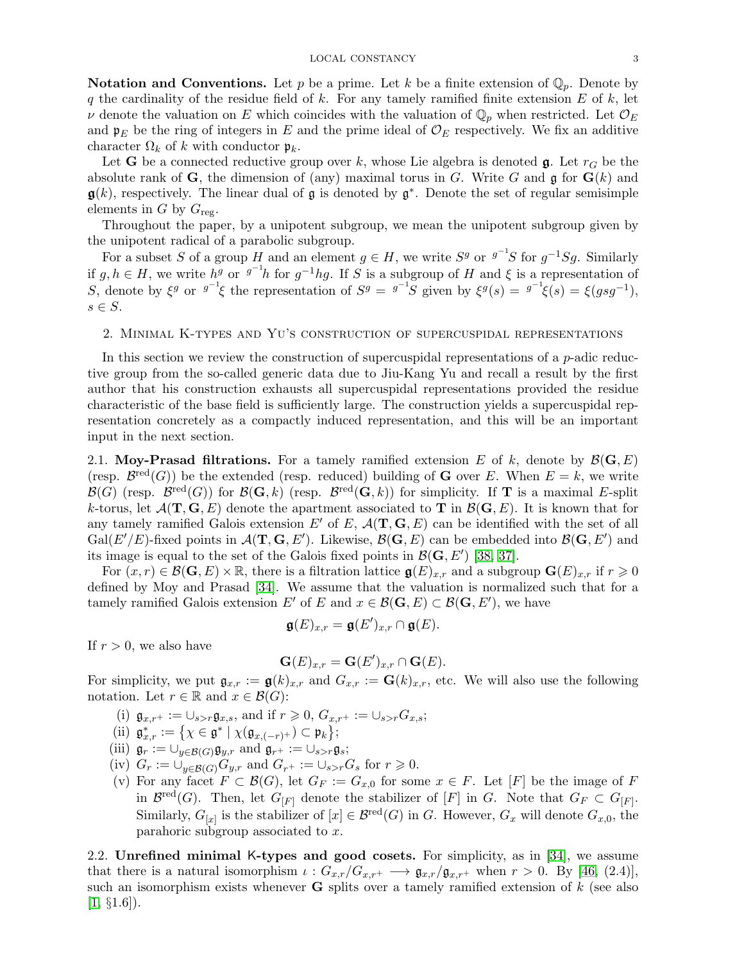**Notation and Conventions.** Let p be a prime. Let k be a finite extension of  $\mathbb{Q}_p$ . Denote by q the cardinality of the residue field of  $k$ . For any tamely ramified finite extension  $E$  of  $k$ , let v denote the valuation on E which coincides with the valuation of  $\mathbb{Q}_p$  when restricted. Let  $\mathcal{O}_E$ and  $\mathfrak{p}_E$  be the ring of integers in E and the prime ideal of  $\mathcal{O}_E$  respectively. We fix an additive character  $\Omega_k$  of k with conductor  $\mathfrak{p}_k$ .

Let **G** be a connected reductive group over k, whose Lie algebra is denoted  $\mathbf{g}$ . Let  $r_G$  be the absolute rank of G, the dimension of (any) maximal torus in G. Write G and  $\mathfrak g$  for  $G(k)$  and  $\mathfrak{g}(k)$ , respectively. The linear dual of g is denoted by  $\mathfrak{g}^*$ . Denote the set of regular semisimple elements in G by  $G_{\text{reg}}$ .

Throughout the paper, by a unipotent subgroup, we mean the unipotent subgroup given by the unipotent radical of a parabolic subgroup.

For a subset S of a group H and an element  $g \in H$ , we write  $S<sup>g</sup>$  or  $g^{-1}S$  for  $g^{-1}Sg$ . Similarly if  $g, h \in H$ , we write  $h^g$  or  $g^{-1}h$  for  $g^{-1}hg$ . If S is a subgroup of H and  $\xi$  is a representation of S, denote by  $\xi^g$  or  $g^{-1}\xi$  the representation of  $S^g = g^{-1}S$  given by  $\xi^g(s) = g^{-1}\xi(s) = \xi(gsg^{-1}),$  $s \in S$ .

# <span id="page-2-0"></span>2. Minimal K-types and Yu's construction of supercuspidal representations

In this section we review the construction of supercuspidal representations of a  $p$ -adic reductive group from the so-called generic data due to Jiu-Kang Yu and recall a result by the first author that his construction exhausts all supercuspidal representations provided the residue characteristic of the base field is sufficiently large. The construction yields a supercuspidal representation concretely as a compactly induced representation, and this will be an important input in the next section.

2.1. Moy-Prasad filtrations. For a tamely ramified extension E of k, denote by  $\mathcal{B}(\mathbf{G}, E)$ (resp.  $\mathcal{B}^{\text{red}}(G)$ ) be the extended (resp. reduced) building of **G** over E. When  $E = k$ , we write  $\mathcal{B}(G)$  (resp.  $\mathcal{B}^{\text{red}}(G)$ ) for  $\mathcal{B}(\mathbf{G},k)$  (resp.  $\mathcal{B}^{\text{red}}(\mathbf{G},k)$ ) for simplicity. If **T** is a maximal E-split k-torus, let  $\mathcal{A}(\mathbf{T},\mathbf{G},E)$  denote the apartment associated to **T** in  $\mathcal{B}(\mathbf{G},E)$ . It is known that for any tamely ramified Galois extension E' of E,  $\mathcal{A}(\mathbf{T}, \mathbf{G}, E)$  can be identified with the set of all  $Gal(E'/E)$ -fixed points in  $\mathcal{A}(\mathbf{T},\mathbf{G}, E')$ . Likewise,  $\mathcal{B}(\mathbf{G}, E)$  can be embedded into  $\mathcal{B}(\mathbf{G}, E')$  and its image is equal to the set of the Galois fixed points in  $\mathcal{B}(\mathbf{G}, E')$  [\[38,](#page-23-4) [37\]](#page-23-5).

For  $(x, r) \in \mathcal{B}(\mathbf{G}, E) \times \mathbb{R}$ , there is a filtration lattice  $\mathfrak{g}(E)_{x,r}$  and a subgroup  $\mathbf{G}(E)_{x,r}$  if  $r \geq 0$ defined by Moy and Prasad [\[34\]](#page-23-6). We assume that the valuation is normalized such that for a tamely ramified Galois extension E' of E and  $x \in \mathcal{B}(\mathbf{G}, E) \subset \mathcal{B}(\mathbf{G}, E')$ , we have

$$
\mathfrak{g}(E)_{x,r} = \mathfrak{g}(E')_{x,r} \cap \mathfrak{g}(E).
$$

If  $r > 0$ , we also have

$$
\mathbf{G}(E)_{x,r} = \mathbf{G}(E')_{x,r} \cap \mathbf{G}(E).
$$

For simplicity, we put  $\mathfrak{g}_{x,r} := \mathfrak{g}(k)_{x,r}$  and  $G_{x,r} := \mathbf{G}(k)_{x,r}$ , etc. We will also use the following notation. Let  $r \in \mathbb{R}$  and  $x \in \mathcal{B}(G)$ :

- (i)  $\mathfrak{g}_{x,r^+} := \cup_{s>r} \mathfrak{g}_{x,s}$ , and if  $r \geq 0$ ,  $G_{x,r^+} := \cup_{s>r} G_{x,s}$ ;
- (ii)  $\mathfrak{g}_{x,r}^* := \{ \chi \in \mathfrak{g}^* \mid \chi(\mathfrak{g}_{x,(-r)^+}) \subset \mathfrak{p}_k \};$
- (iii)  $\mathfrak{g}_r := \bigcup_{y \in \mathcal{B}(G)} \mathfrak{g}_{y,r}$  and  $\mathfrak{g}_{r^+} := \bigcup_{s > r} \mathfrak{g}_s$ ;
- (iv)  $G_r := \bigcup_{y \in \mathcal{B}(G)} G_{y,r}$  and  $G_{r^+} := \bigcup_{s > r} G_s$  for  $r \geq 0$ .
- (v) For any facet  $F \subset \mathcal{B}(G)$ , let  $G_F := G_{x,0}$  for some  $x \in F$ . Let  $[F]$  be the image of F in  $\mathcal{B}^{\text{red}}(G)$ . Then, let  $G_{[F]}$  denote the stabilizer of  $[F]$  in G. Note that  $G_F \subset G_{[F]}$ . Similarly,  $G_{[x]}$  is the stabilizer of  $[x] \in \mathcal{B}^{\text{red}}(G)$  in G. However,  $G_x$  will denote  $G_{x,0}$ , the parahoric subgroup associated to x.

2.2. Unrefined minimal K-types and good cosets. For simplicity, as in [\[34\]](#page-23-6), we assume that there is a natural isomorphism  $\iota : G_{x,r}/G_{x,r^+} \longrightarrow \mathfrak{g}_{x,r}/\mathfrak{g}_{x,r^+}$  when  $r > 0$ . By [\[46,](#page-23-1) (2.4)], such an isomorphism exists whenever **G** splits over a tamely ramified extension of  $k$  (see also  $[1, \S1.6]$  $[1, \S1.6]$ .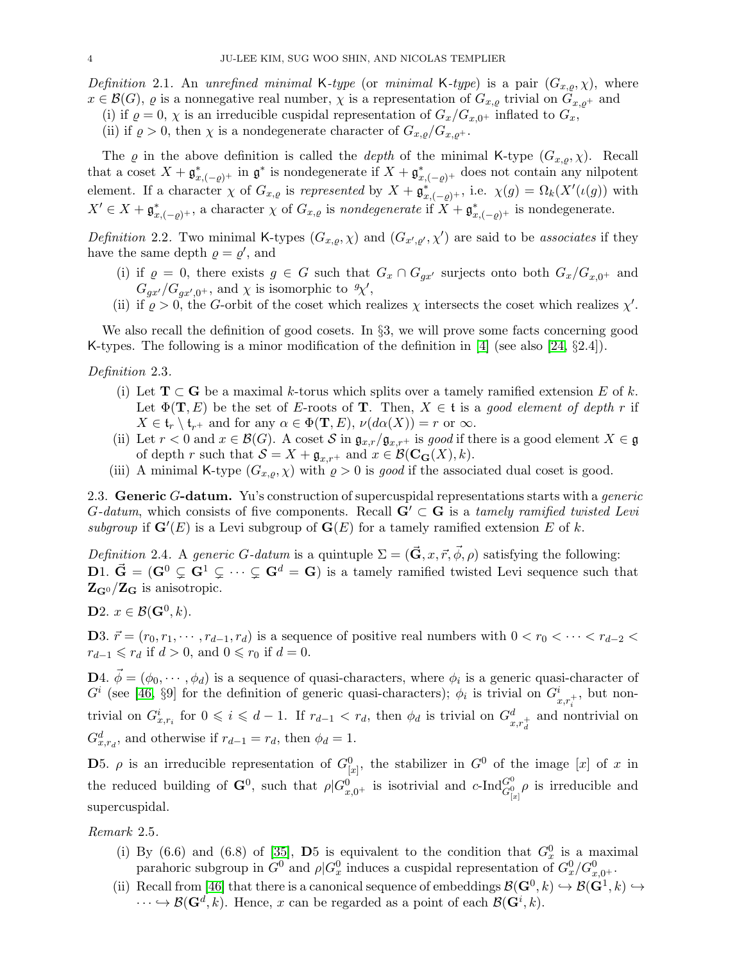Definition 2.1. An unrefined minimal K-type (or minimal K-type) is a pair  $(G_{x,\varrho}, \chi)$ , where  $x \in \mathcal{B}(G)$ ,  $\varrho$  is a nonnegative real number,  $\chi$  is a representation of  $G_{x,\varrho}$  trivial on  $G_{x,\varrho^+}$  and

(i) if  $\rho = 0$ ,  $\chi$  is an irreducible cuspidal representation of  $G_x/G_{x,0^+}$  inflated to  $G_x$ ,

(ii) if  $\rho > 0$ , then  $\chi$  is a nondegenerate character of  $G_{x,\rho}/G_{x,\rho^+}$ .

The  $\varrho$  in the above definition is called the *depth* of the minimal K-type  $(G_{x,\rho}, \chi)$ . Recall that a coset  $X + \mathfrak{g}_{x, (-\varrho)^+}^*$  in  $\mathfrak{g}^*$  is nondegenerate if  $X + \mathfrak{g}_{x, (-\varrho)^+}^*$  does not contain any nilpotent element. If a character  $\chi$  of  $G_{x,\varrho}$  is represented by  $X + \mathfrak{g}_{x,(-\varrho)^+}^*$ , i.e.  $\chi(g) = \Omega_k(X'(\iota(g))$  with  $X' \in X + \mathfrak{g}_{x,(-\varrho)^+}^*$ , a character  $\chi$  of  $G_{x,\varrho}$  is nondegenerate if  $X + \mathfrak{g}_{x,(-\varrho)^+}^*$  is nondegenerate.

Definition 2.2. Two minimal K-types  $(G_{x,g}, \chi)$  and  $(G_{x',g'}, \chi')$  are said to be associates if they have the same depth  $\rho = \rho'$ , and

- (i) if  $\varrho = 0$ , there exists  $g \in G$  such that  $G_x \cap G_{gx'}$  surjects onto both  $G_x/G_{x,0^+}$  and  $G_{gx'}/G_{gx',0^+}$ , and  $\chi$  is isomorphic to  $\mathcal{X}'$ ,
- (ii) if  $\rho > 0$ , the G-orbit of the coset which realizes  $\chi$  intersects the coset which realizes  $\chi'$ .

We also recall the definition of good cosets. In §3, we will prove some facts concerning good K-types. The following is a minor modification of the definition in [\[4\]](#page-22-9) (see also [\[24,](#page-23-7) §2.4]).

## Definition 2.3.

- (i) Let  $\mathbf{T} \subset \mathbf{G}$  be a maximal k-torus which splits over a tamely ramified extension E of k. Let  $\Phi(T, E)$  be the set of E-roots of T. Then,  $X \in \mathfrak{t}$  is a good element of depth r if  $X \in \mathfrak{t}_r \setminus \mathfrak{t}_{r+}$  and for any  $\alpha \in \Phi(\mathbf{T}, E)$ ,  $\nu(d\alpha(X)) = r$  or  $\infty$ .
- (ii) Let  $r < 0$  and  $x \in \mathcal{B}(G)$ . A coset S in  $\mathfrak{g}_{x,r}/\mathfrak{g}_{x,r+}$  is good if there is a good element  $X \in \mathfrak{g}$ of depth r such that  $S = X + \mathfrak{g}_{x,r^+}$  and  $x \in \mathcal{B}(\mathbf{C}_\mathbf{G}(X), k)$ .
- (iii) A minimal K-type  $(G_{x,\rho}, \chi)$  with  $\rho > 0$  is good if the associated dual coset is good.

<span id="page-3-0"></span>2.3. Generic G-datum. Yu's construction of supercuspidal representations starts with a *generic* G-datum, which consists of five components. Recall  $G' \subset G$  is a tamely ramified twisted Levi subgroup if  $\mathbf{G}'(E)$  is a Levi subgroup of  $\mathbf{G}(E)$  for a tamely ramified extension E of k.

Definition 2.4. A generic G-datum is a quintuple  $\Sigma = (\vec{G}, x, \vec{r}, \vec{\phi}, \rho)$  satisfying the following: D1.  $\vec{G} = (G^0 \subsetneq G^1 \subsetneq \cdots \subsetneq G^d = G)$  is a tamely ramified twisted Levi sequence such that  $Z_{G^0}/Z_G$  is anisotropic.

**D**2.  $x \in \mathcal{B}(\mathbf{G}^0, k)$ .

D3.  $\vec{r} = (r_0, r_1, \dots, r_{d-1}, r_d)$  is a sequence of positive real numbers with  $0 < r_0 < \dots < r_{d-2} <$  $r_{d-1} \leqslant r_d$  if  $d > 0$ , and  $0 \leqslant r_0$  if  $d = 0$ .

**D**4.  $\vec{\phi} = (\phi_0, \dots, \phi_d)$  is a sequence of quasi-characters, where  $\phi_i$  is a generic quasi-character of  $G^i$  (see [\[46,](#page-23-1) §9] for the definition of generic quasi-characters);  $\phi_i$  is trivial on  $G^i_{x,r_i^+}$ , but nontrivial on  $G_{x,r_i}^i$  for  $0 \leq i \leq d-1$ . If  $r_{d-1} < r_d$ , then  $\phi_d$  is trivial on  $G_{x,r_d}^d$  and nontrivial on  $G_{x,r_d}^d$ , and otherwise if  $r_{d-1} = r_d$ , then  $\phi_d = 1$ .

**D**5.  $\rho$  is an irreducible representation of  $G_{[x]}^0$ , the stabilizer in  $G^0$  of the image [x] of x in the reduced building of  $\mathbf{G}^0$ , such that  $\rho | G^0_{x,0^+}$  is isotrivial and  $c$ -Ind $\overset{G^0_{0}}{G^0_{|x|}}\rho$  is irreducible and supercuspidal.

Remark 2.5.

- (i) By (6.6) and (6.8) of [\[35\]](#page-23-8), D5 is equivalent to the condition that  $G_x^0$  is a maximal parahoric subgroup in  $G^0$  and  $\rho | G_x^0$  induces a cuspidal representation of  $G_x^0/G_{x,0^+}^0$ .
- (ii) Recall from [\[46\]](#page-23-1) that there is a canonical sequence of embeddings  $\mathcal{B}(\mathbf{G}^0, k) \hookrightarrow \mathcal{B}(\mathbf{G}^1, k) \hookrightarrow$  $\dots \hookrightarrow \mathcal{B}(\mathbf{G}^d, k)$ . Hence, x can be regarded as a point of each  $\mathcal{B}(\mathbf{G}^i, k)$ .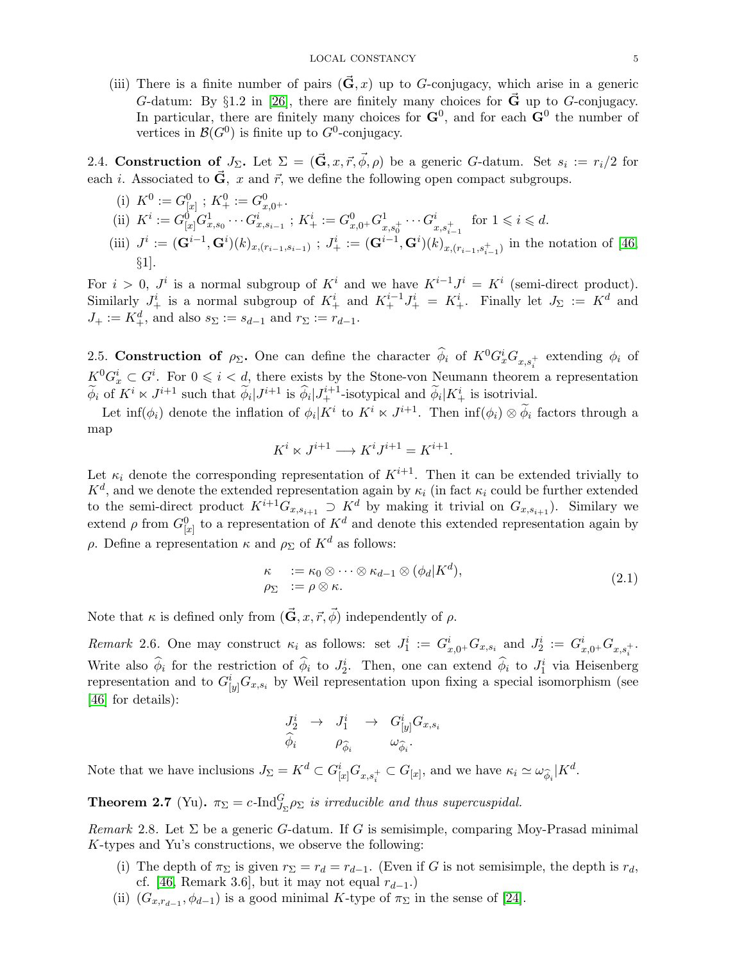(iii) There is a finite number of pairs  $(\vec{G}, x)$  up to G-conjugacy, which arise in a generic G-datum: By §1.2 in [\[26\]](#page-23-9), there are finitely many choices for  $\vec{G}$  up to G-conjugacy. In particular, there are finitely many choices for  $\mathbf{G}^0$ , and for each  $\mathbf{G}^0$  the number of vertices in  $\mathcal{B}(G^0)$  is finite up to  $G^0$ -conjugacy.

<span id="page-4-2"></span>2.4. Construction of  $J_{\Sigma}$ . Let  $\Sigma = (\vec{\mathbf{G}}, x, \vec{r}, \vec{\phi}, \rho)$  be a generic G-datum. Set  $s_i := r_i/2$  for each *i*. Associated to  $\vec{G}$ , x and  $\vec{r}$ , we define the following open compact subgroups.

(i)  $K^0 := G_{[x]}^0$ ;  $K^0_+ := G_{x,0^+}^0$ . (ii)  $K^i := G^0_{[x]} G^1_{x,s_0} \cdots G^i_{x,s_{i-1}}$ ;  $K^i_+ := G^0_{x,0^+} G^1_{x,s_0^+} \cdots G^i_{x,s_{i-1}^+}$  for  $1 \leq i \leq d$ . (iii)  $J^i := (\mathbf{G}^{i-1}, \mathbf{G}^i)(k)_{x,(r_{i-1},s_{i-1})}$ ;  $J^i_+ := (\mathbf{G}^{i-1}, \mathbf{G}^i)(k)_{x,(r_{i-1},s_{i-1}^+)}$  in the notation of [\[46,](#page-23-1) §1].

For  $i > 0$ ,  $J^i$  is a normal subgroup of  $K^i$  and we have  $K^{i-1}J^i = K^i$  (semi-direct product). Similarly  $J^i_+$  is a normal subgroup of  $K^i_+$  and  $K^{i-1}_+J^i_+ = K^i_+$ . Finally let  $J_{\Sigma} := K^d$  and  $J_+ := K_+^d$ , and also  $s_{\Sigma} := s_{d-1}$  and  $r_{\Sigma} := r_{d-1}$ .

2.5. Construction of  $\rho_{\Sigma}$ . One can define the character  $\hat{\phi}_i$  of  $K^0G_x^iG_{x,s_i^+}$  extending  $\phi_i$  of  $K^0G_x^i\subset G^i$ . For  $0\leqslant i < d$ , there exists by the Stone-von Neumann theorem a representation  $\widetilde{\phi}_i$  of  $K^i \ltimes J^{i+1}$  such that  $\widetilde{\phi}_i|J^{i+1}_+$  is  $\widehat{\phi}_i|J^{i+1}_+$ -isotypical and  $\widetilde{\phi}_i|K^i_+$  is isotrivial.

Let  $\inf(\phi_i)$  denote the inflation of  $\phi_i|K^i$  to  $K^i \ltimes J^{i+1}$ . Then  $\inf(\phi_i) \otimes \widetilde{\phi}_i$  factors through a map

$$
K^i\ltimes J^{i+1}\longrightarrow K^iJ^{i+1}=K^{i+1}.
$$

Let  $\kappa_i$  denote the corresponding representation of  $K^{i+1}$ . Then it can be extended trivially to  $K^d$ , and we denote the extended representation again by  $\kappa_i$  (in fact  $\kappa_i$  could be further extended to the semi-direct product  $K^{i+1}G_{x,s_{i+1}} \supset K^d$  by making it trivial on  $G_{x,s_{i+1}}$ ). Similary we extend  $\rho$  from  $G_{[x]}^0$  to a representation of  $K^d$  and denote this extended representation again by ρ. Define a representation  $\kappa$  and  $ρ_{\Sigma}$  of  $K^d$  as follows:

<span id="page-4-1"></span>
$$
\begin{array}{ll}\n\kappa & := \kappa_0 \otimes \cdots \otimes \kappa_{d-1} \otimes (\phi_d | K^d), \\
\rho_{\Sigma} & := \rho \otimes \kappa.\n\end{array} \tag{2.1}
$$

Note that  $\kappa$  is defined only from  $(\vec{G}, x, \vec{r}, \vec{\phi})$  independently of  $\rho$ .

Remark 2.6. One may construct  $\kappa_i$  as follows: set  $J_1^i := G_{x,0^+}^i G_{x,s_i}$  and  $J_2^i := G_{x,0^+}^i G_{x,s_i^+}$ . Write also  $\hat{\phi}_i$  for the restriction of  $\hat{\phi}_i$  to  $J_2^i$ . Then, one can extend  $\hat{\phi}_i$  to  $J_1^i$  via Heisenberg representation and to  $G_{[y]}^{i}G_{x,s_i}$  by Weil representation upon fixing a special isomorphism (see [\[46\]](#page-23-1) for details):

$$
\begin{array}{ccc}\nJ_2^i & \rightarrow & J_1^i & \rightarrow & G^i_{[y]}G_{x,s_i} \\
\widehat{\phi}_i & & \rho_{\widehat{\phi}_i} & & \omega_{\widehat{\phi}_i}.\n\end{array}
$$

Note that we have inclusions  $J_{\Sigma} = K^d \subset G_{[x]}^i G_{x,s_i^+} \subset G_{[x]}$ , and we have  $\kappa_i \simeq \omega_{\widehat{\phi}_i}|K^d$ .

<span id="page-4-0"></span>**Theorem 2.7** (Yu).  $\pi_{\Sigma} = c$ -Ind $\int_{\Sigma} \rho_{\Sigma}$  is irreducible and thus supercuspidal.

Remark 2.8. Let  $\Sigma$  be a generic G-datum. If G is semisimple, comparing Moy-Prasad minimal K-types and Yu's constructions, we observe the following:

- (i) The depth of  $\pi_{\Sigma}$  is given  $r_{\Sigma} = r_d = r_{d-1}$ . (Even if G is not semisimple, the depth is  $r_d$ , cf. [\[46,](#page-23-1) Remark 3.6], but it may not equal  $r_{d-1}$ .)
- (ii)  $(G_{x,r_{d-1}}, \phi_{d-1})$  is a good minimal K-type of  $\pi_{\Sigma}$  in the sense of [\[24\]](#page-23-7).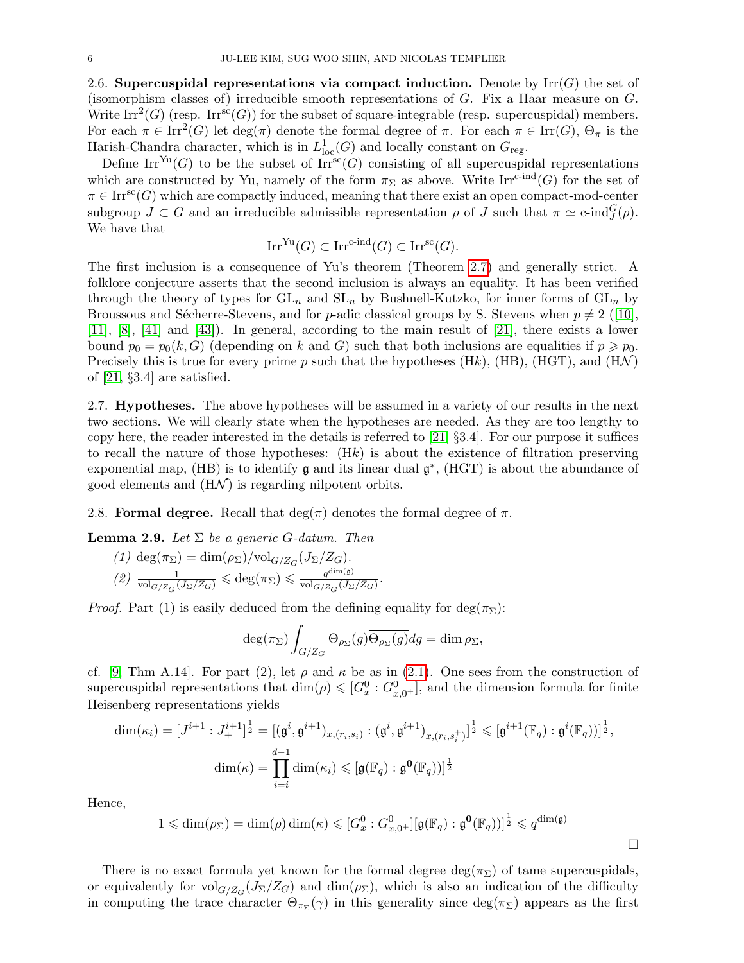2.6. Supercuspidal representations via compact induction. Denote by  $\mathrm{Irr}(G)$  the set of (isomorphism classes of) irreducible smooth representations of  $G$ . Fix a Haar measure on  $G$ . Write Irr<sup>2</sup>(G) (resp. Irr<sup>sc</sup>(G)) for the subset of square-integrable (resp. supercuspidal) members. For each  $\pi \in \text{Irr}^2(G)$  let  $\deg(\pi)$  denote the formal degree of  $\pi$ . For each  $\pi \in \text{Irr}(G)$ ,  $\Theta_{\pi}$  is the Harish-Chandra character, which is in  $L^1_{loc}(G)$  and locally constant on  $G_{reg}$ .

Define Irr<sup>Yu</sup>(G) to be the subset of Irr<sup>sc</sup>(G) consisting of all supercuspidal representations which are constructed by Yu, namely of the form  $\pi_{\Sigma}$  as above. Write Irr<sup>c-ind</sup>(G) for the set of  $\pi \in \text{Irr}^{\text{sc}}(G)$  which are compactly induced, meaning that there exist an open compact-mod-center subgroup  $J \subset G$  and an irreducible admissible representation  $\rho$  of  $J$  such that  $\pi \simeq c\text{-ind}_{J}^{G}(\rho)$ . We have that

$$
\operatorname{Irr}^{\operatorname{Yu}}(G) \subset \operatorname{Irr}^{\operatorname{c-ind}}(G) \subset \operatorname{Irr}^{\operatorname{sc}}(G).
$$

The first inclusion is a consequence of Yu's theorem (Theorem [2.7\)](#page-4-0) and generally strict. A folklore conjecture asserts that the second inclusion is always an equality. It has been verified through the theory of types for  $GL_n$  and  $SL_n$  by Bushnell-Kutzko, for inner forms of  $GL_n$  by Broussous and Sécherre-Stevens, and for p-adic classical groups by S. Stevens when  $p \neq 2$  ([\[10\]](#page-22-10), [\[11\]](#page-22-11), [\[8\]](#page-22-12), [\[41\]](#page-23-10) and [\[43\]](#page-23-11)). In general, according to the main result of [\[21\]](#page-22-3), there exists a lower bound  $p_0 = p_0(k, G)$  (depending on k and G) such that both inclusions are equalities if  $p \geq p_0$ . Precisely this is true for every prime p such that the hypotheses (Hk), (HB), (HGT), and (HN) of [\[21,](#page-22-3) §3.4] are satisfied.

<span id="page-5-1"></span>2.7. **Hypotheses.** The above hypotheses will be assumed in a variety of our results in the next two sections. We will clearly state when the hypotheses are needed. As they are too lengthy to copy here, the reader interested in the details is referred to [\[21,](#page-22-3) §3.4]. For our purpose it suffices to recall the nature of those hypotheses:  $(Hk)$  is about the existence of filtration preserving exponential map, (HB) is to identify  $\mathfrak g$  and its linear dual  $\mathfrak g^*$ , (HGT) is about the abundance of good elements and  $(H\mathcal{N})$  is regarding nilpotent orbits.

2.8. Formal degree. Recall that  $\deg(\pi)$  denotes the formal degree of  $\pi$ .

<span id="page-5-0"></span>**Lemma 2.9.** Let  $\Sigma$  be a generic G-datum. Then

(1)  $\deg(\pi_{\Sigma}) = \dim(\rho_{\Sigma})/\text{vol}_{G/Z_G}(J_{\Sigma}/Z_G)$ . (2)  $\frac{1}{\text{vol}_{G/Z_G}(J_{\Sigma}/Z_G)} \leq \text{deg}(\pi_{\Sigma}) \leq \frac{q^{\text{dim}(\mathfrak{g})}}{\text{vol}_{G/Z_G}(J_{\Sigma})}$  $\frac{q^{\text{diam}(\mathfrak{g})}}{\text{vol}_{G/Z_G}(J_{\Sigma}/Z_G)}$  .

*Proof.* Part (1) is easily deduced from the defining equality for  $\deg(\pi_{\Sigma})$ :

$$
\deg(\pi_{\Sigma})\int_{G/Z_G} \Theta_{\rho_{\Sigma}}(g)\overline{\Theta_{\rho_{\Sigma}}(g)}dg = \dim \rho_{\Sigma},
$$

cf. [\[9,](#page-22-13) Thm A.14]. For part (2), let  $\rho$  and  $\kappa$  be as in [\(2.1\)](#page-4-1). One sees from the construction of supercuspidal representations that  $\dim(\rho) \leqslant [G_x^0 : G_{x,0^+}^0]$ , and the dimension formula for finite Heisenberg representations yields

$$
\dim(\kappa_i) = [J^{i+1} : J_+^{i+1}]^{\frac{1}{2}} = [(\mathfrak{g}^i, \mathfrak{g}^{i+1})_{x, (r_i, s_i)} : (\mathfrak{g}^i, \mathfrak{g}^{i+1})_{x, (r_i, s_i^+)}]^{\frac{1}{2}} \leqslant [\mathfrak{g}^{i+1}(\mathbb{F}_q) : \mathfrak{g}^i(\mathbb{F}_q))]^{\frac{1}{2}},
$$

$$
\dim(\kappa) = \prod_{i=i}^{d-1} \dim(\kappa_i) \leqslant [\mathfrak{g}(\mathbb{F}_q) : \mathfrak{g}^0(\mathbb{F}_q))]^{\frac{1}{2}}
$$

Hence,

$$
1 \leq \dim(\rho_{\Sigma}) = \dim(\rho) \dim(\kappa) \leq [G_x^0 : G_{x,0^+}^0][\mathfrak{g}(\mathbb{F}_q) : \mathfrak{g}^0(\mathbb{F}_q))]^{\frac{1}{2}} \leq q^{\dim(\mathfrak{g})}
$$

 $\Box$ 

There is no exact formula yet known for the formal degree  $\deg(\pi_{\Sigma})$  of tame supercuspidals, or equivalently for  $\text{vol}_{G/Z_G}(J_\Sigma/Z_G)$  and  $\dim(\rho_\Sigma)$ , which is also an indication of the difficulty in computing the trace character  $\Theta_{\pi_{\Sigma}}(\gamma)$  in this generality since  $\deg(\pi_{\Sigma})$  appears as the first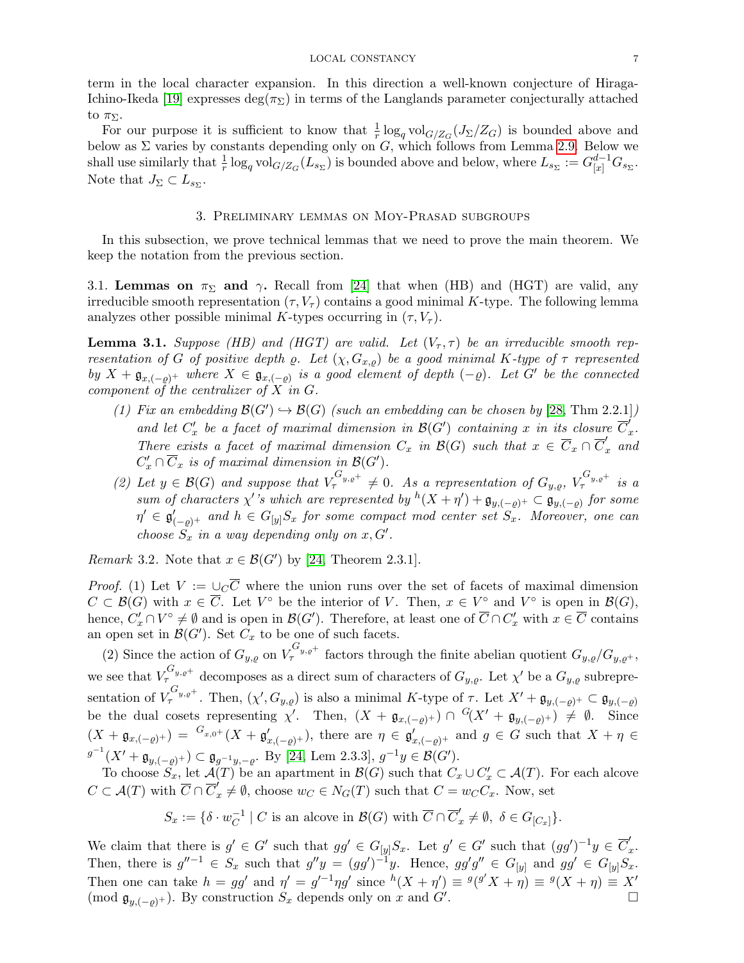term in the local character expansion. In this direction a well-known conjecture of Hiraga-Ichino-Ikeda [\[19\]](#page-22-14) expresses deg( $\pi_{\Sigma}$ ) in terms of the Langlands parameter conjecturally attached to  $\pi_{\Sigma}$ .

For our purpose it is sufficient to know that  $\frac{1}{r} \log_q \text{vol}_{G/Z_G}(J_\Sigma/Z_G)$  is bounded above and below as  $\Sigma$  varies by constants depending only on G, which follows from Lemma [2.9.](#page-5-0) Below we shall use similarly that  $\frac{1}{r} \log_q \text{vol}_{G/Z_G}(L_{s_{\Sigma}})$  is bounded above and below, where  $L_{s_{\Sigma}} := G_{[x]}^{d-1} G_{s_{\Sigma}}$ . Note that  $J_{\Sigma} \subset L_{s_{\Sigma}}$ .

## 3. Preliminary lemmas on Moy-Prasad subgroups

<span id="page-6-0"></span>In this subsection, we prove technical lemmas that we need to prove the main theorem. We keep the notation from the previous section.

3.1. Lemmas on  $\pi_{\Sigma}$  and  $\gamma$ . Recall from [\[24\]](#page-23-7) that when (HB) and (HGT) are valid, any irreducible smooth representation  $(\tau, V_\tau)$  contains a good minimal K-type. The following lemma analyzes other possible minimal K-types occurring in  $(\tau, V_\tau)$ .

<span id="page-6-1"></span>**Lemma 3.1.** Suppose (HB) and (HGT) are valid. Let  $(V_\tau, \tau)$  be an irreducible smooth representation of G of positive depth  $\varrho$ . Let  $(\chi, G_{x,\varrho})$  be a good minimal K-type of  $\tau$  represented by  $X + \mathfrak{g}_{x, (-\varrho)^+}$  where  $X \in \mathfrak{g}_{x, (-\varrho)}$  is a good element of depth  $(-\varrho)$ . Let G' be the connected component of the centralizer of  $X$  in  $G$ .

- (1) Fix an embedding  $\mathcal{B}(G') \hookrightarrow \mathcal{B}(G)$  (such an embedding can be chosen by [\[28,](#page-23-12) Thm 2.2.1]) and let  $C'_x$  be a facet of maximal dimension in  $\mathcal{B}(G')$  containing x in its closure  $\overline{C}'_s$  $\frac{x}{x}$ . There exists a facet of maximal dimension  $C_x$  in  $\mathcal{B}(G)$  such that  $x \in \overline{C}_x \cap \overline{C}'_x$  and  $C'_x \cap \overline{C}_x$  is of maximal dimension in  $\mathcal{B}(G')$ .
- (2) Let  $y \in \mathcal{B}(G)$  and suppose that  $V_{\tau}^{G_{y,e^+}} \neq 0$ . As a representation of  $G_{y,e}$ ,  $V_{\tau}^{G_{y,e^+}}$  is a sum of characters  $\chi'$ 's which are represented by  ${}^h(X+\eta') + \mathfrak{g}_{y,(-\varrho)}$   $\subset \mathfrak{g}_{y,(-\varrho)}$  for some  $\eta' \in \mathfrak{g}'_{(-\varrho)^+}$  and  $h \in G_{[y]}S_x$  for some compact mod center set  $S_x$ . Moreover, one can choose  $S_x$  in a way depending only on  $x, G'$ .

Remark 3.2. Note that  $x \in \mathcal{B}(G')$  by [\[24,](#page-23-7) Theorem 2.3.1].

*Proof.* (1) Let  $V := \bigcup_{C} \overline{C}$  where the union runs over the set of facets of maximal dimension  $C \subset \mathcal{B}(G)$  with  $x \in \overline{C}$ . Let  $V^{\circ}$  be the interior of V. Then,  $x \in V^{\circ}$  and  $V^{\circ}$  is open in  $\mathcal{B}(G)$ , hence,  $C'_x \cap V^{\circ} \neq \emptyset$  and is open in  $\mathcal{B}(G')$ . Therefore, at least one of  $\overline{C} \cap C'_x$  with  $x \in \overline{C}$  contains an open set in  $\mathcal{B}(G')$ . Set  $C_x$  to be one of such facets.

(2) Since the action of  $G_{y,\varrho}$  on  $V_{\tau}^{G_{y,\varrho^+}}$  factors through the finite abelian quotient  $G_{y,\varrho}/G_{y,\varrho^+}$ , we see that  $V_{\tau}^{G_{y,\varrho^+}}$  decomposes as a direct sum of characters of  $G_{y,\varrho}$ . Let  $\chi'$  be a  $G_{y,\varrho}$  subrepresentation of  $V^{G_{y,g}+}_{\tau}$ . Then,  $(\chi', G_{y,g})$  is also a minimal K-type of  $\tau$ . Let  $X' + \mathfrak{g}_{y, (-g)^+} \subset \mathfrak{g}_{y, (-g)^+}$ be the dual cosets representing  $\chi'$ . Then,  $(X + \mathfrak{g}_{x, (-\varrho)^+}) \cap {}^G (X' + \mathfrak{g}_{y, (-\varrho)^+}) \neq \emptyset$ . Since  $(X + \mathfrak{g}_{x, (-\varrho)^+}) = {}^{G_{x,0^+}}(X + \mathfrak{g}'_{x, (-\varrho)^+})$ , there are  $\eta \in \mathfrak{g}'_{x, (-\varrho)^+}$  and  $g \in G$  such that  $X + \eta \in$  $g^{-1}(X' + \mathfrak{g}_{y, (-\varrho)^+}) \subset \mathfrak{g}_{g^{-1}y, -\varrho}$ . By [\[24,](#page-23-7) Lem 2.3.3],  $g^{-1}y \in \mathcal{B}(G')$ .

To choose  $S_x$ , let  $\mathcal{A}(T)$  be an apartment in  $\mathcal{B}(G)$  such that  $C_x \cup C'_x \subset \mathcal{A}(T)$ . For each alcove  $C \subset \mathcal{A}(T)$  with  $\overline{C} \cap \overline{C}'_x \neq \emptyset$ , choose  $w_C \in N_G(T)$  such that  $C = w_C C_x$ . Now, set

$$
S_x := \{ \delta \cdot w_C^{-1} \mid C \text{ is an alcove in } \mathcal{B}(G) \text{ with } \overline{C} \cap \overline{C}'_x \neq \emptyset, \ \delta \in G_{[C_x]} \}.
$$

We claim that there is  $g' \in G'$  such that  $gg' \in G_{[y]}S_x$ . Let  $g' \in G'$  such that  $(gg')^{-1}y \in \overline{C}'_x$  $\frac{x}{x}$ . Then, there is  $g''^{-1} \in S_x$  such that  $g''y = (gg')^{-1}y$ . Hence,  $gg'g'' \in G_{[y]}$  and  $gg' \in G_{[y]}S_x$ . Then one can take  $h = gg'$  and  $\eta' = g'^{-1}\eta g'$  since  $h(X + \eta') \equiv g(g'X + \eta) \equiv g(X + \eta) \equiv X'$ (mod  $\mathfrak{g}_{y,(-\rho)^+}$ ). By construction  $S_x$  depends only on x and  $G'$ . .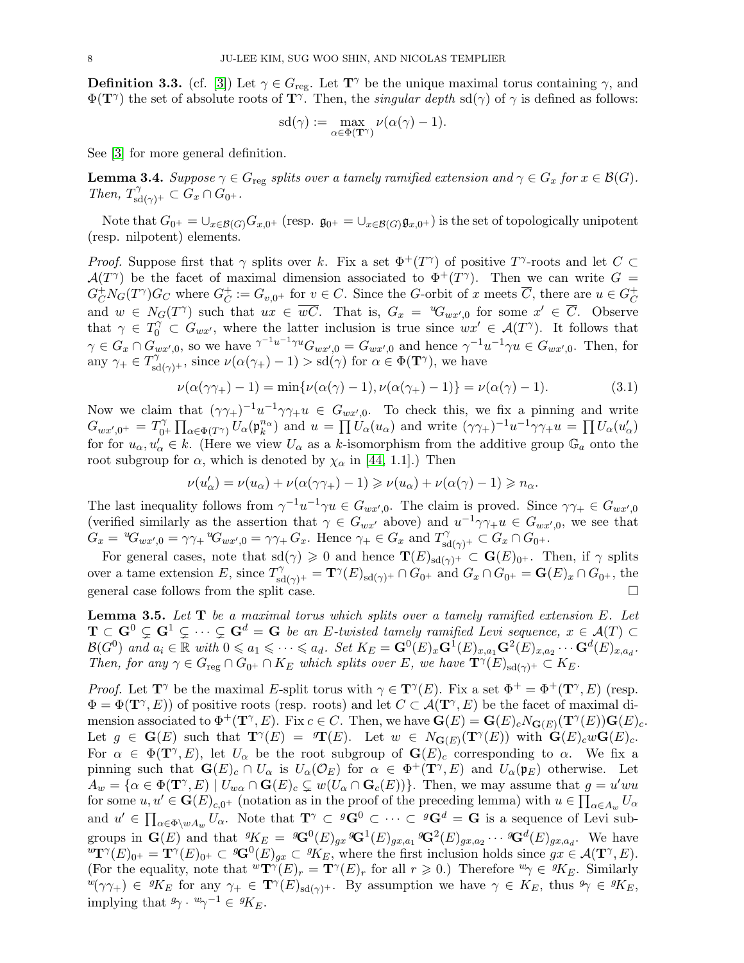<span id="page-7-0"></span>**Definition 3.3.** (cf. [\[3\]](#page-22-4)) Let  $\gamma \in G_{\text{reg}}$ . Let  $\mathbf{T}^{\gamma}$  be the unique maximal torus containing  $\gamma$ , and  $\Phi(\mathbf{T}^{\gamma})$  the set of absolute roots of  $\mathbf{T}^{\gamma}$ . Then, the *singular depth* sd( $\gamma$ ) of  $\gamma$  is defined as follows:

$$
\text{sd}(\gamma) := \max_{\alpha \in \Phi(\mathbf{T}^{\gamma})} \nu(\alpha(\gamma) - 1).
$$

See [\[3\]](#page-22-4) for more general definition.

<span id="page-7-2"></span>**Lemma 3.4.** Suppose  $\gamma \in G_{\text{reg}}$  splits over a tamely ramified extension and  $\gamma \in G_x$  for  $x \in \mathcal{B}(G)$ . Then,  $T_{\text{sd}(\gamma)^+}^{\gamma} \subset G_x \cap G_{0^+}.$ 

Note that  $G_{0^+} = \bigcup_{x \in \mathcal{B}(G)} G_{x,0^+}$  (resp.  $\mathfrak{g}_{0^+} = \bigcup_{x \in \mathcal{B}(G)} \mathfrak{g}_{x,0^+}$ ) is the set of topologically unipotent (resp. nilpotent) elements.

*Proof.* Suppose first that  $\gamma$  splits over k. Fix a set  $\Phi^+(T^{\gamma})$  of positive  $T^{\gamma}$ -roots and let  $C \subset$  $\mathcal{A}(T^{\gamma})$  be the facet of maximal dimension associated to  $\Phi^+(T^{\gamma})$ . Then we can write  $G =$  $G_C^+ N_G(T^{\gamma}) G_C$  where  $G_C^+$  $C^+ \n\subset G_{v,0^+}$  for  $v \in C$ . Since the G-orbit of x meets  $\overline{C}$ , there are  $u \in G_C^+$  $\mathcal{C}_{0}^{(n)}$ and  $w \in N_G(T^{\gamma})$  such that  $ux \in \overline{wC}$ . That is,  $G_x = {}^wG_{wx',0}$  for some  $x' \in \overline{C}$ . Observe that  $\gamma \in T_0^{\gamma} \subset G_{wx'}$ , where the latter inclusion is true since  $wx' \in \mathcal{A}(T^{\gamma})$ . It follows that  $\gamma \in G_x \cap G_{wx',0}$ , so we have  $\gamma^{-1}u^{-1}\gamma^u G_{wx',0} = G_{wx',0}$  and hence  $\gamma^{-1}u^{-1}\gamma u \in G_{wx',0}$ . Then, for any  $\gamma_+ \in T_{\text{sd}(\gamma)^+}^{\gamma}$ , since  $\nu(\alpha(\gamma_+)-1) > \text{sd}(\gamma)$  for  $\alpha \in \Phi(\mathbf{T}^{\gamma})$ , we have

<span id="page-7-1"></span>
$$
\nu(\alpha(\gamma\gamma_+) - 1) = \min{\nu(\alpha(\gamma) - 1), \nu(\alpha(\gamma_+) - 1)} = \nu(\alpha(\gamma) - 1). \tag{3.1}
$$

Now we claim that  $(\gamma \gamma_+)^{-1} u^{-1} \gamma \gamma_+ u \in G_{wx',0}$ . To check this, we fix a pinning and write  $G_{wx',0^+} = T_{0^-}^\gamma$  $\int_{0^+}^{\gamma} \prod_{\alpha \in \Phi(T^{\gamma})} U_{\alpha}(\mathfrak{p}_{k}^{n_{\alpha}})$  and  $u = \prod U_{\alpha}(u_{\alpha})$  and write  $(\gamma \gamma_{+})^{-1} u^{-1} \gamma \gamma_{+} u = \prod U_{\alpha}(u_{\alpha}')$ for for  $u_{\alpha}, u_{\alpha} \in k$ . (Here we view  $U_{\alpha}$  as a k-isomorphism from the additive group  $\mathbb{G}_a$  onto the root subgroup for  $\alpha$ , which is denoted by  $\chi_{\alpha}$  in [\[44,](#page-23-13) 1.1].) Then

$$
\nu(u'_{\alpha}) = \nu(u_{\alpha}) + \nu(\alpha(\gamma\gamma_{+}) - 1) \geqslant \nu(u_{\alpha}) + \nu(\alpha(\gamma) - 1) \geqslant n_{\alpha}.
$$

The last inequality follows from  $\gamma^{-1}u^{-1}\gamma u \in G_{wx',0}$ . The claim is proved. Since  $\gamma\gamma_+ \in G_{wx',0}$ (verified similarly as the assertion that  $\gamma \in G_{wx'}$  above) and  $u^{-1}\gamma\gamma_+u \in G_{wx',0}$ , we see that  $G_x = {}^{u}G_{wx',0} = \gamma\gamma_+ {}^{u}G_{wx',0} = \gamma\gamma_+ G_x.$  Hence  $\gamma_+ \in G_x$  and  $T^{\gamma}_{sd(\gamma)^+} \subset G_x \cap G_{0^+}.$ 

For general cases, note that  $sd(\gamma) \geq 0$  and hence  $\mathbf{T}(E)_{sd(\gamma)^+} \subset \mathbf{G}(E)_{0^+}$ . Then, if  $\gamma$  splits over a tame extension E, since  $T_{sd(\gamma)^+}^{\gamma} = \mathbf{T}^{\gamma}(E)_{sd(\gamma)^+} \cap G_{0^+}$  and  $G_x \cap G_{0^+} = \mathbf{G}(E)_x \cap G_{0^+}$ , the general case follows from the split case.

<span id="page-7-3"></span>**Lemma 3.5.** Let  $T$  be a maximal torus which splits over a tamely ramified extension  $E$ . Let  $\mathbf{T} \subset \mathbf{G}^0 \subsetneq \mathbf{G}^1 \subsetneq \cdots \subsetneq \mathbf{G}^d = \mathbf{G}$  be an E-twisted tamely ramified Levi sequence,  $x \in \mathcal{A}(T) \subset$  $\mathcal{B}(G^0)$  and  $a_i \in \mathbb{R}$  with  $0 \leq a_1 \leq \cdots \leq a_d$ . Set  $K_E = \mathbf{G}^0(E)_x \mathbf{G}^1(E)_{x,a_1} \mathbf{G}^2(E)_{x,a_2} \cdots \mathbf{G}^d(E)_{x,a_d}$ . Then, for any  $\gamma \in G_{reg} \cap G_{0^+} \cap K_E$  which splits over E, we have  $\mathbf{T}^{\gamma}(E)_{sd(\gamma)^+} \subset K_E$ .

*Proof.* Let  $\mathbf{T}^{\gamma}$  be the maximal E-split torus with  $\gamma \in \mathbf{T}^{\gamma}(E)$ . Fix a set  $\Phi^+ = \Phi^+(\mathbf{T}^{\gamma}, E)$  (resp.  $\Phi = \Phi(\mathbf{T}^{\gamma}, E)$  of positive roots (resp. roots) and let  $C \subset \mathcal{A}(\mathbf{T}^{\gamma}, E)$  be the facet of maximal dimension associated to  $\Phi^+(\mathbf{T}^\gamma,E)$ . Fix  $c \in C$ . Then, we have  $\mathbf{G}(E) = \mathbf{G}(E)_c N_{\mathbf{G}(E)}(\mathbf{T}^\gamma(E)) \mathbf{G}(E)_c$ . Let  $g \in \mathbf{G}(E)$  such that  $\mathbf{T}^{\gamma}(E) = \mathcal{T}(E)$ . Let  $w \in N_{\mathbf{G}(E)}(\mathbf{T}^{\gamma}(E))$  with  $\mathbf{G}(E)_{c}w\mathbf{G}(E)_{c}$ . For  $\alpha \in \Phi(\mathbf{T}^{\gamma}, E)$ , let  $U_{\alpha}$  be the root subgroup of  $\mathbf{G}(E)_{c}$  corresponding to  $\alpha$ . We fix a pinning such that  $\mathbf{G}(E)_{c} \cap U_{\alpha}$  is  $U_{\alpha}(\mathcal{O}_{E})$  for  $\alpha \in \Phi^{+}(\mathbf{T}^{\gamma}, E)$  and  $U_{\alpha}(\mathfrak{p}_{E})$  otherwise. Let  $A_w = \{ \alpha \in \Phi(\mathbf{T}^{\gamma}, E) \mid U_{w\alpha} \cap \mathbf{G}(E)_{c} \subsetneq w(U_{\alpha} \cap \mathbf{G}_{c}(E)) \}.$  Then, we may assume that  $g = u'wu$ for some  $u, u' \in \mathbf{G}(E)_{c,0^+}$  (notation as in the proof of the preceding lemma) with  $u \in \prod_{\alpha \in A_w} U_{\alpha}$ and  $u' \in \prod_{\alpha \in \Phi \setminus wA_w} U_\alpha$ . Note that  $\mathbf{T}^\gamma \subset {}^g\mathbf{G}^0 \subset \cdots \subset {}^g\mathbf{G}^d = \mathbf{G}$  is a sequence of Levi subgroups in  $\mathbf{G}(E)$  and that  ${}^gK_E = {}^g\mathbf{G}^0(E)_{gx} {}^g\mathbf{G}^1(E)_{gx,a_1} {}^g\mathbf{G}^2(E)_{gx,a_2} \cdots {}^g\mathbf{G}^d(E)_{gx,a_d}$ . We have  ${}^w{\bf T}^{\gamma}(E)_{0^+} = {\bf T}^{\gamma}(E)_{0^+} \subset {}^g{\bf G}^0(E)_{gx} \subset {}^gK_E$ , where the first inclusion holds since  $gx \in \mathcal{A}({\bf T}^{\gamma},E)$ . (For the equality, note that  $\mathbf{w} \mathbf{T}^{\gamma}(E)_{r} = \mathbf{T}^{\gamma}(E)_{r}$  for all  $r \geq 0$ .) Therefore  $\mathbf{w}_{\gamma} \in {}^{g}K_{E}$ . Similarly  ${}^w(\gamma\gamma_+) \in {}^gK_E$  for any  $\gamma_+ \in {\bf T}^{\gamma}(E)_{sd(\gamma)^+}$ . By assumption we have  $\gamma \in K_E$ , thus  ${}^g\gamma \in {}^gK_E$ , implying that  ${}^g\gamma \cdot {}^w\gamma^{-1} \in {}^g\!K_E$ .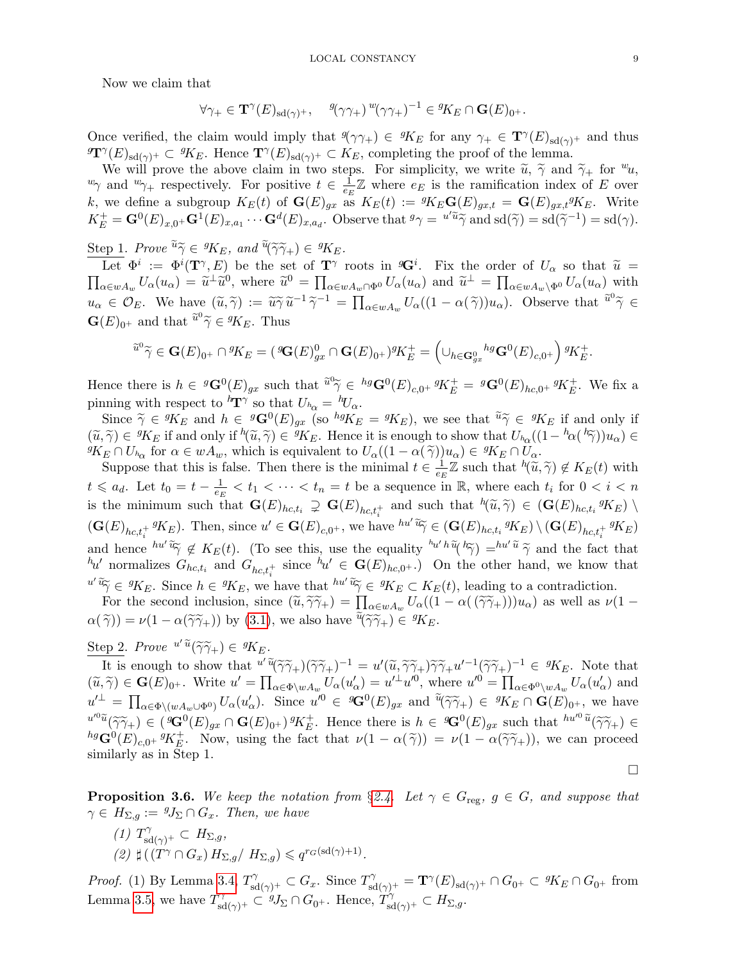Now we claim that

$$
\forall \gamma_{+} \in \mathbf{T}^{\gamma}(E)_{\mathrm{sd}(\gamma)^{+}}, \quad \mathcal{G}(\gamma \gamma_{+})^{w}(\gamma \gamma_{+})^{-1} \in \mathcal{G}K_{E} \cap \mathbf{G}(E)_{0^{+}}.
$$

Once verified, the claim would imply that  $\mathcal{P}(\gamma_{\gamma+}) \in {}^{g}K_E$  for any  $\gamma_+ \in {\bf T}^{\gamma}(E)_{\text{sd}(\gamma)^+}$  and thus  $\mathbf{T}^{\gamma}(E)_{sd(\gamma)^+} \subset {}^{g}K_E$ . Hence  $\mathbf{T}^{\gamma}(E)_{sd(\gamma)^+} \subset K_E$ , completing the proof of the lemma.

We will prove the above claim in two steps. For simplicity, we write  $\tilde{u}, \tilde{\gamma}$  and  $\tilde{\gamma}_+$  for  $w_u$ ,  $w_{\gamma}$  and  $w_{\gamma+}$  respectively. For positive  $t \in \frac{1}{ex}$  $\frac{1}{e_E} \mathbb{Z}$  where  $e_E$  is the ramification index of E over k, we define a subgroup  $K_E(t)$  of  $\mathbf{G}(E)_{gx}$  as  $K_E(t) := {}^gK_E \mathbf{G}(E)_{gx,t} = \mathbf{G}(E)_{gx,t} {}^gK_E$ . Write  $K_E^+ = \mathbf{G}^0(E)_{x,0^+} \mathbf{G}^1(E)_{x,a_1} \cdots \mathbf{G}^d(E)_{x,a_d}$ . Observe that  ${}^g\gamma = \sqrt[u]{\widetilde{u}} \widetilde{\gamma}$  and  $sd(\widetilde{\gamma}) = sd(\widetilde{\gamma}^{-1}) = sd(\gamma)$ .

 $\frac{\text{Step 1}}{\text{Left}}$ . Prove  $\widetilde{u}\widetilde{\gamma} \in {}^gK_E$ , and  $\widetilde{u}(\widetilde{\gamma}\widetilde{\gamma}_+) \in {}^gK_E$ .

Let  $\Phi^i := \Phi^i(\mathbf{T}^\gamma, E)$  be the set of  $\mathbf{T}^\gamma$  roots in  ${}^g\mathbf{G}^i$ . Fix the order of  $U_\alpha$  so that  $\widetilde{u} =$ <br> $U_\alpha(u_\alpha) = \widetilde{u}^\perp \widetilde{u}^0$  where  $\widetilde{u}^0 = \Pi$   $U_\alpha(u_\alpha)$  and  $\widetilde{u}^\perp = \Pi$   $U_\alpha(u_\alpha)$  with  $\prod_{\alpha \in wA_w} U_{\alpha}(u_{\alpha}) = \tilde{u}^{\perp} \tilde{u}^0$ , where  $\tilde{u}^0 = \prod_{\alpha \in wA_w \cap \Phi^0} U_{\alpha}(u_{\alpha})$  and  $\tilde{u}^{\perp} = \prod_{\alpha \in wA_w \setminus \Phi^0} U_{\alpha}(u_{\alpha})$  with  $u_{\alpha} \in \mathcal{O}_E$ . We have  $(\widetilde{u}, \widetilde{\gamma}) := \widetilde{u} \widetilde{\gamma} \widetilde{u}^{-1} \widetilde{\gamma}^{-1} = \prod_{\alpha \in wA_w} U_{\alpha}((1 - \alpha(\widetilde{\gamma}))u_{\alpha})$ . Observe that  $\widetilde{u}^0 \widetilde{\gamma} \in \widetilde{G}(\mathbb{R})$ .  $\mathbf{G}(E)_{0^+}$  and that  $\tilde{u}^0 \tilde{\gamma} \in {}^gK_E$ . Thus

$$
\widetilde{u}^0 \widetilde{\gamma} \in \mathbf{G}(E)_{0^+} \cap {}^g \! K_E = ( {}^g \! \mathbf{G}(E)_{gx}^0 \cap \mathbf{G}(E)_{0^+}) {}^g \! K_E^+ = \left( \cup_{h \in \mathbf{G}_{gx}^0} {}^{hg} \mathbf{G}^0(E)_{c,0^+} \right) {}^g \! K_E^+.
$$

Hence there is  $h \in {}^g {\bf G}^0(E)_{gx}$  such that  $\tilde u^0 \tilde \gamma \in {}^{hg} {\bf G}^0(E)_{c,0^+} {}^g K_E^+ = {}^g {\bf G}^0(E)_{hc,0^+} {}^g K_E^+$ . We fix a pinning with respect to  ${}^h{\mathbf{T}}^\gamma$  so that  $U_{h_\alpha} = {}^h\!U_\alpha$ .

Since  $\widetilde{\gamma} \in {}^gK_E$  and  $h \in {}^g\mathbf{G}^0(E)_{gx}$  (so  ${}^{hg}K_E = {}^gK_E$ ), we see that  $\widetilde{u}\widetilde{\gamma} \in {}^gK_E$  if and only if  $(\widetilde{u}, \widetilde{\gamma}) \in {}^{g}K_E$  if and only if  ${}^{h}(\widetilde{u}, \widetilde{\gamma}) \in {}^{g}K_E$ . Hence it is enough to show that  $U_{h_{\alpha}}((1 - {}^{h}\alpha({}^{h}\widetilde{\gamma}))u_{\alpha}) \in {}^{g}K_E \cap U$ .<br> ${}^{g}K_E \cap U$ , for  $\alpha \in \mathcal{U}A$ , which is equivalent to  $U_{h_{\alpha}}((1 - \alpha({}^{\alpha$  ${}^{g}K_E \cap U_{h_\alpha}$  for  $\alpha \in wA_w$ , which is equivalent to  $U_\alpha((1-\alpha(\tilde{\gamma}))u_\alpha) \in {}^{g}K_E \cap U_\alpha$ .<br>Suppose that this is false. Then there is the minimal  $t \in \frac{1}{\alpha} \mathbb{Z}$  such that  $h(\tilde{\alpha})$ .

Suppose that this is false. Then there is the minimal  $t \in \frac{1}{\epsilon t}$  $\frac{1}{e_E} \mathbb{Z}$  such that  ${}^h(\widetilde{u}, \widetilde{\gamma}) \notin K_E(t)$  with  $t \leq a_d$ . Let  $t_0 = t - \frac{1}{e_d}$  $\frac{1}{e_E}$  <  $t_1$  <  $\cdots$  <  $t_n$  =  $t$  be a sequence in  $\mathbb{R}$ , where each  $t_i$  for  $0 < i < n$ is the minimum such that  $\mathbf{G}(E)_{hc,t_i} \supsetneq \mathbf{G}(E)_{hc,t_i^+}$  and such that  ${}^h(\widetilde{u}, \widetilde{\gamma}) \in (\mathbf{G}(E)_{hc,t_i} g_{KE}) \setminus$  $(\mathbf{G}(E)_{hc,t_i^+}g_{K_E}).$  Then, since  $u' \in \mathbf{G}(E)_{c,0^+}$ , we have  $^{hu'}\widetilde{\mathfrak{g}} \in (\mathbf{G}(E)_{hc,t_i}g_{K_E}) \setminus (\mathbf{G}(E)_{hc,t_i^+}g_{K_E})$ and hence  ${}^{hu'}\tilde{\mathfrak{v}}\not\in K_E(t)$ . (To see this, use the equality  ${}^{h_{u'}h}\tilde{\mathfrak{v}}(\tilde{\mathfrak{v}})\equiv h^{u'}\tilde{\mathfrak{v}}\tilde{\gamma}$  and the fact that  ${}^{h_{u'}}$  normalizes  $C_k$  and  $C_k$  using  ${}^{h_{u'}}\in \mathbf{C}(E)$  and  $\mathbf{r}$  on the other  $h_u$  normalizes  $G_{hc,t_i}$  and  $G_{hc,t_i^+}$  since  $h_u \in \mathbf{G}(E)_{hc,0^+}$ . On the other hand, we know that  $u' \widetilde{\alpha}_{\widetilde{\gamma}} \in {}^gK_E$ . Since  $h \in {}^gK_E$ , we have that  $h u' \widetilde{\alpha}_{\widetilde{\gamma}} \in {}^gK_E \subset K_E(t)$ , leading to a contradiction.<br>For the second inclusion, since  $(\widetilde{u}, \widetilde{\alpha}_{\widetilde{\alpha}}) = \prod_{L} \left( (1 - \alpha((\widetilde{\alpha}_{\widetilde{\alpha}})^{\gamma})_{L}) \right)$  as we

For the second inclusion, since  $(\tilde{u}, \tilde{\gamma}\tilde{\gamma}_+) = \prod_{\alpha \in wA_w} U_{\alpha}((1 - \alpha(\tilde{\gamma}\tilde{\gamma}_+)))u_{\alpha})$  as well as  $\nu(1 - \tilde{\gamma}_+)(u_{\alpha}) = (1 - \tilde{\gamma}_+)(u_{\alpha})$  $\alpha(\tilde{\gamma}) = \nu(1 - \alpha(\tilde{\gamma}\tilde{\gamma}_+) )$  by [\(3.1\)](#page-7-1), we also have  $\tilde{\mathfrak{u}}(\tilde{\gamma}\tilde{\gamma}_+) \in {}^{g}K_E$ .

Step 2. Prove  $u' \tilde{u}(\tilde{\gamma}\tilde{\gamma}_{+}) \in {}^{g}K_E$ .

It is enough to show that  $u' \tilde{u}(\tilde{\gamma}\tilde{\gamma}_{+})(\tilde{\gamma}\tilde{\gamma}_{+})^{-1} = u'(\tilde{u}, \tilde{\gamma}\tilde{\gamma}_{+})\tilde{\gamma}\tilde{\gamma}_{+}u'^{-1}(\tilde{\gamma}\tilde{\gamma}_{+})^{-1} \in {}^{g}K_{E}$ . Note that  $\tilde{\gamma}_{-} \in \mathbb{C}(E)$ . Write  $u' = \Pi$   $U(u') = u'^{\perp}u'^{0}$  where  $u'^{0} = \Pi$   $U(u')$  a  $(\widetilde{u}, \widetilde{\gamma}) \in \mathbf{G}(E)_{0^+}$ . Write  $u' = \prod_{\alpha \in \Phi \backslash wA_w} U_{\alpha}(u'_{\alpha}) = u'^{\perp}u'^{0}$ , where  $u'^{0} = \prod_{\alpha \in \Phi \backslash wA_w} U_{\alpha}(u'_{\alpha})$  and  $u'^{\perp} = \prod_{\alpha \in \Phi \setminus (wA_w \cup \Phi^0)} U_{\alpha}(u'_{\alpha})$ . Since  $u'^0 \in {}^g{\mathbf{G}}^0(E)_{gx}$  and  $\tilde{{}^u(\tilde{\gamma}\tilde{\gamma}_{+})} \in {}^gK_E \cap {\mathbf{G}}(E)_{0^+}$ , we have  $u^{0\tilde{u}}(\tilde{\gamma}\tilde{\gamma}_{+}) \in (\mathcal{G}^{\mathbf{G}}(E)_{gx} \cap \mathbf{G}(E)_{0^+})^g K_{E}^+$ . Hence there is  $h \in \mathcal{G}^{\mathbf{G}}(E)_{gx}$  such that  $h u^{0\tilde{u}}(\tilde{\gamma}\tilde{\gamma}_{+}) \in$ <br>  $h g \mathbf{G}^0(E)$ ,  $g_{\mathbf{K}}$  and  $\mathbf{G}(E)$  and  $h g_{\mathbf{K}}$  and  $h g_{\mathbf{K}}$  $h^{\beta}G^{0}(E)_{c,0}$ +  $g_{K_{E}}^{+}$ . Now, using the fact that  $\nu(1 - \alpha(\tilde{\gamma})) = \nu(1 - \alpha(\tilde{\gamma}\tilde{\gamma}_{+}))$ , we can proceed similarly as in Step 1.

<span id="page-8-0"></span>**Proposition 3.6.** We keep the notation from §[2.4.](#page-4-2) Let  $\gamma \in G$ <sub>reg</sub>,  $g \in G$ , and suppose that  $\gamma \in H_{\Sigma,g} := {}^g J_{\Sigma} \cap G_x$ . Then, we have

(1)  $T_{\text{sd}(\gamma)^+}^{\gamma} \subset H_{\Sigma,g},$ (2)  $\sharp ((T^{\gamma} \cap G_x) H_{\Sigma,g}/ H_{\Sigma,g}) \leqslant q^{r_G(\text{sd}(\gamma)+1)}.$ 

Proof. (1) By Lemma [3.4,](#page-7-2)  $T_{sd(\gamma)^+}^{\gamma} \subset G_x$ . Since  $T_{sd(\gamma)^+}^{\gamma} = \mathbf{T}^{\gamma}(E)_{sd(\gamma)^+} \cap G_{0^+} \subset {}^{g}K_E \cap G_{0^+}$  from Lemma [3.5,](#page-7-3) we have  $T_{sd(\gamma)^+}^{\gamma} \subset {}^gJ_{\Sigma} \cap G_{0^+}$ . Hence,  $T_{sd(\gamma)^+}^{\gamma} \subset H_{\Sigma,g}$ .

 $\Box$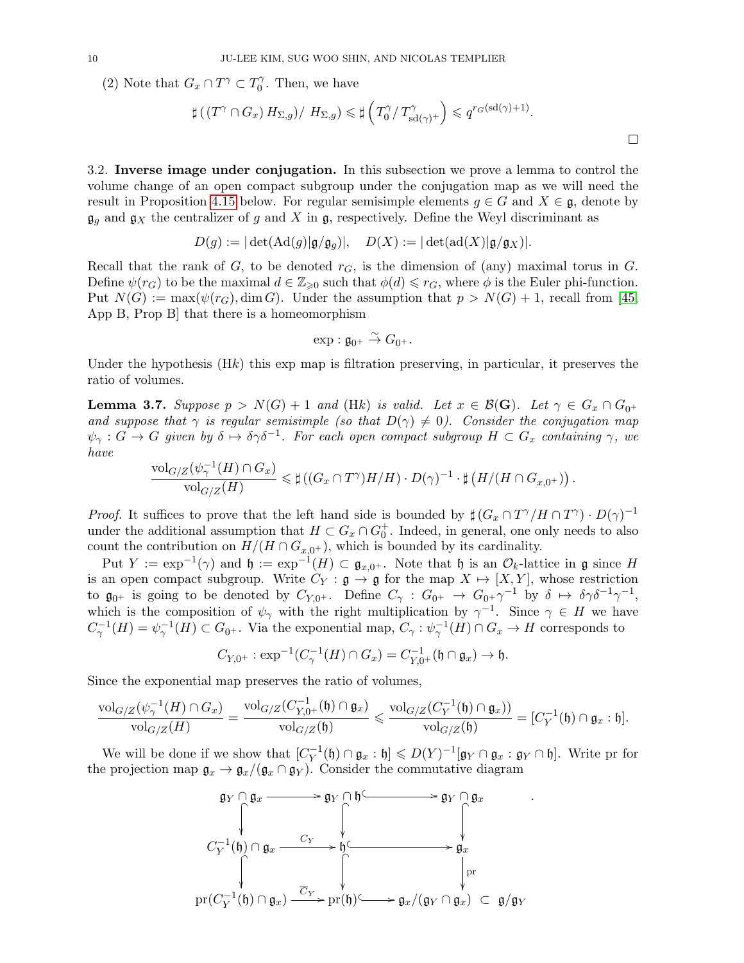(2) Note that  $G_x \cap T^\gamma \subset T_0^\gamma$  $\int_0^{\gamma}$ . Then, we have

$$
\sharp ((T^{\gamma} \cap G_x) H_{\Sigma,g}) / H_{\Sigma,g}) \leq \sharp \left( T_0^{\gamma} / T_{sd(\gamma)^+}^{\gamma} \right) \leqslant q^{r_G(\mathrm{sd}(\gamma)+1)}.
$$

3.2. Inverse image under conjugation. In this subsection we prove a lemma to control the volume change of an open compact subgroup under the conjugation map as we will need the result in Proposition [4.15](#page-16-0) below. For regular semisimple elements  $g \in G$  and  $X \in \mathfrak{g}$ , denote by  $\mathfrak{g}_g$  and  $\mathfrak{g}_X$  the centralizer of g and X in  $\mathfrak{g}$ , respectively. Define the Weyl discriminant as

$$
D(g) := |\det(\mathrm{Ad}(g)|\mathfrak{g}/\mathfrak{g}_g)|, \quad D(X) := |\det(\mathrm{ad}(X)|\mathfrak{g}/\mathfrak{g}_X)|.
$$

Recall that the rank of  $G$ , to be denoted  $r_G$ , is the dimension of (any) maximal torus in  $G$ . Define  $\psi(r_G)$  to be the maximal  $d \in \mathbb{Z}_{\geq 0}$  such that  $\phi(d) \leq r_G$ , where  $\phi$  is the Euler phi-function. Put  $N(G) := \max(\psi(r_G), \dim G)$ . Under the assumption that  $p > N(G) + 1$ , recall from [\[45,](#page-23-14) App B, Prop B] that there is a homeomorphism

$$
\exp: \mathfrak{g}_{0^+} \overset{\sim}{\to} G_{0^+}.
$$

Under the hypothesis (Hk) this exp map is filtration preserving, in particular, it preserves the ratio of volumes.

<span id="page-9-0"></span>**Lemma 3.7.** Suppose  $p > N(G) + 1$  and (Hk) is valid. Let  $x \in \mathcal{B}(\mathbf{G})$ . Let  $\gamma \in G_x \cap G_{0^+}$ and suppose that  $\gamma$  is regular semisimple (so that  $D(\gamma) \neq 0$ ). Consider the conjugation map  $\psi_{\gamma}: G \to G$  given by  $\delta \mapsto \delta \gamma \delta^{-1}$ . For each open compact subgroup  $H \subset G_x$  containing  $\gamma$ , we have

$$
\frac{\text{vol}_{G/Z}(\psi_{\gamma}^{-1}(H) \cap G_x)}{\text{vol}_{G/Z}(H)} \leq \sharp ((G_x \cap T^{\gamma})H/H) \cdot D(\gamma)^{-1} \cdot \sharp (H/(H \cap G_{x,0^+})) .
$$

*Proof.* It suffices to prove that the left hand side is bounded by  $\sharp (G_x \cap T^{\gamma}/H \cap T^{\gamma}) \cdot D(\gamma)^{-1}$ under the additional assumption that  $H \subset G_x \cap G_0^+$ . Indeed, in general, one only needs to also count the contribution on  $H/(H \cap G_{x,0^+})$ , which is bounded by its cardinality.

Put  $Y := \exp^{-1}(\gamma)$  and  $\mathfrak{h} := \exp^{-1}(H) \subset \mathfrak{g}_{x,0^+}$ . Note that  $\mathfrak{h}$  is an  $\mathcal{O}_k$ -lattice in  $\mathfrak{g}$  since H is an open compact subgroup. Write  $C_Y : \mathfrak{g} \to \mathfrak{g}$  for the map  $X \mapsto [X, Y]$ , whose restriction to  $\mathfrak{g}_{0^+}$  is going to be denoted by  $C_{Y,0^+}$ . Define  $C_{\gamma}: G_{0^+} \to G_{0^+} \gamma^{-1}$  by  $\delta \mapsto \delta \gamma \delta^{-1} \gamma^{-1}$ , which is the composition of  $\psi_{\gamma}$  with the right multiplication by  $\gamma^{-1}$ . Since  $\gamma \in H$  we have  $C_{\gamma}^{-1}(H) = \psi_{\gamma}^{-1}(H) \subset G_{0}$ . Via the exponential map,  $C_{\gamma}: \psi_{\gamma}^{-1}(H) \cap G_{x} \to H$  corresponds to

$$
C_{Y,0^+}: \exp^{-1}(C_{\gamma}^{-1}(H) \cap G_x) = C_{Y,0^+}^{-1}(\mathfrak{h} \cap \mathfrak{g}_x) \to \mathfrak{h}.
$$

Since the exponential map preserves the ratio of volumes,

$$
\frac{\text{vol}_{G/Z}(\psi_\gamma^{-1}(H)\cap G_x)}{\text{vol}_{G/Z}(H)}=\frac{\text{vol}_{G/Z}(C_{Y,0^+}^{-1}(\mathfrak{h})\cap \mathfrak{g}_x)}{\text{vol}_{G/Z}(\mathfrak{h})}\leqslant \frac{\text{vol}_{G/Z}(C_Y^{-1}(\mathfrak{h})\cap \mathfrak{g}_x))}{\text{vol}_{G/Z}(\mathfrak{h})}=[C_Y^{-1}(\mathfrak{h})\cap \mathfrak{g}_x:\mathfrak{h}].
$$

We will be done if we show that  $[C_Y^{-1}]$  $Y^{-1}_Y(\mathfrak{h}) \cap \mathfrak{g}_x : \mathfrak{h}] \leqslant D(Y)^{-1}[\mathfrak{g}_Y \cap \mathfrak{g}_x : \mathfrak{g}_Y \cap \mathfrak{h}].$  Write pr for the projection map  $\mathfrak{g}_x \to \mathfrak{g}_x/(\mathfrak{g}_x \cap \mathfrak{g}_Y)$ . Consider the commutative diagram

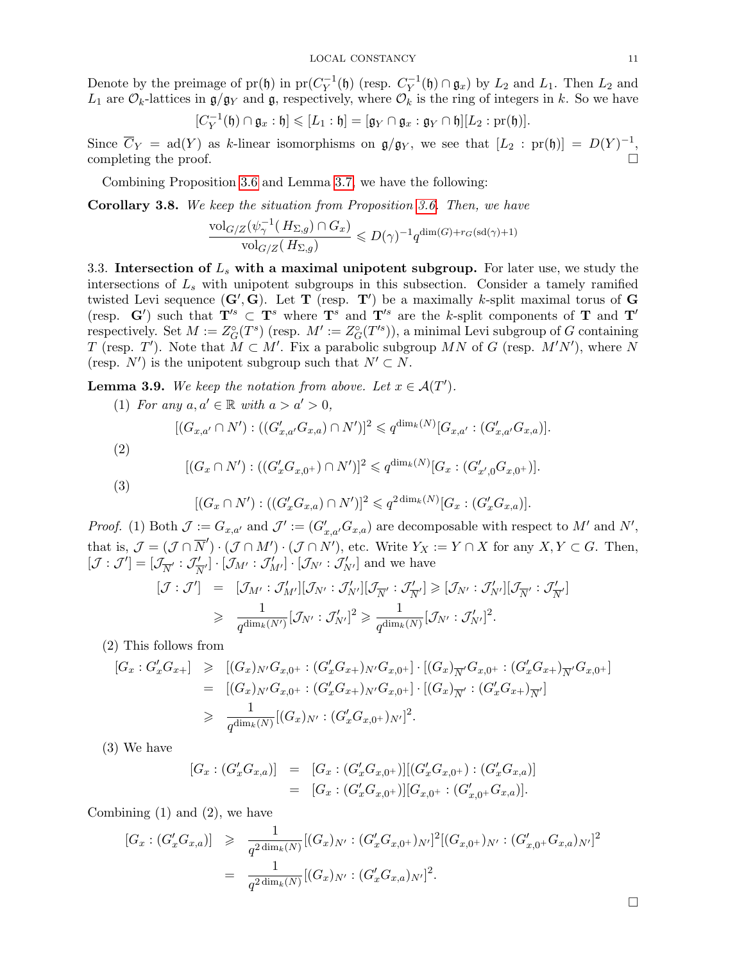Denote by the preimage of  $pr(h)$  in  $pr(C_V^{-1})$  $V_Y^{-1}(\mathfrak{h})$  (resp.  $C_Y^{-1}$  $Y^{-1}(\mathfrak{h}) \cap \mathfrak{g}_x$  by  $L_2$  and  $L_1$ . Then  $L_2$  and  $L_1$  are  $\mathcal{O}_k$ -lattices in  $\mathfrak{g}/\mathfrak{g}_Y$  and  $\mathfrak{g}$ , respectively, where  $\mathcal{O}_k$  is the ring of integers in k. So we have

$$
[C_Y^{-1}(\mathfrak{h}) \cap \mathfrak{g}_x : \mathfrak{h}] \leqslant [L_1 : \mathfrak{h}] = [\mathfrak{g}_Y \cap \mathfrak{g}_x : \mathfrak{g}_Y \cap \mathfrak{h}][L_2 : \mathrm{pr}(\mathfrak{h})].
$$

Since  $\overline{C}_Y = \text{ad}(Y)$  as k-linear isomorphisms on  $\mathfrak{g}/\mathfrak{g}_Y$ , we see that  $[L_2 : \text{pr}(\mathfrak{h})] = D(Y)^{-1}$ , completing the proof.  $\Box$ 

Combining Proposition [3.6](#page-8-0) and Lemma [3.7,](#page-9-0) we have the following:

<span id="page-10-1"></span>Corollary 3.8. We keep the situation from Proposition [3.6.](#page-8-0) Then, we have

$$
\frac{\text{vol}_{G/Z}(\psi_{\gamma}^{-1}(H_{\Sigma,g}) \cap G_x)}{\text{vol}_{G/Z}(H_{\Sigma,g})} \leqslant D(\gamma)^{-1} q^{\dim(G) + r_G(\text{sd}(\gamma) + 1)}
$$

3.3. Intersection of  $L<sub>s</sub>$  with a maximal unipotent subgroup. For later use, we study the intersections of  $L<sub>s</sub>$  with unipotent subgroups in this subsection. Consider a tamely ramified twisted Levi sequence  $(G', G)$ . Let **T** (resp. **T**<sup>'</sup>) be a maximally k-split maximal torus of **G** (resp. G') such that  $T'$ <sup>s</sup>  $\subset$  T<sup>s</sup> where T<sup>s</sup> and T'<sup>s</sup> are the k-split components of T and T' respectively. Set  $M := Z_G^{\circ}(T^s)$  (resp.  $M' := Z_G^{\circ}(T'^s)$ ), a minimal Levi subgroup of G containing T (resp. T'). Note that  $M \subset M'$ . Fix a parabolic subgroup MN of G (resp.  $M'N'$ ), where N (resp. N') is the unipotent subgroup such that  $N' \subset N$ .

<span id="page-10-0"></span>**Lemma 3.9.** We keep the notation from above. Let  $x \in A(T')$ .

(1) For any  $a, a' \in \mathbb{R}$  with  $a > a' > 0$ ,

$$
[(G_{x,a'} \cap N') : ((G'_{x,a'}G_{x,a}) \cap N')]^{2} \leqslant q^{\dim_{k}(N)}[G_{x,a'} : (G'_{x,a'}G_{x,a})].
$$

(2)

(3)

$$
[(G_x \cap N') : ((G'_x G_{x,0^+}) \cap N')]^2 \leqslant q^{\dim_k(N)}[G_x : (G'_{x',0} G_{x,0^+})].
$$

$$
[(G_x \cap N') : ((G'_x G_{x,a}) \cap N')]^2 \leqslant q^{2 \dim_k(N)} [G_x : (G'_x G_{x,a})].
$$

*Proof.* (1) Both  $\mathcal{J} := G_{x,a'}$  and  $\mathcal{J}' := (G'_{x,a'}G_{x,a})$  are decomposable with respect to M' and N', that is,  $\mathcal{J} = (\mathcal{J} \cap \overline{N}') \cdot (\mathcal{J} \cap M') \cdot (\mathcal{J} \cap N')$ , etc. Write  $Y_X := Y \cap X$  for any  $X, Y \subset G$ . Then,  $[{\cal J}:{\cal J}']= [{\cal J}_{\overline{N}'}:{\cal J}_{\overline{N}}']$  $[\mathcal{J}_{N'}] \cdot [\mathcal{J}_{M'}] \cdot [\mathcal{J}_{N'}] \cdot [\mathcal{J}_{N'}]$  and we have

$$
\begin{array}{rcl} [\mathcal{J} : \mathcal{J}'] & = & [\mathcal{J}_{M'} : \mathcal{J}'_{M'}][\mathcal{J}_{N'} : \mathcal{J}'_{N'}][\mathcal{J}_{\overline{N}'} : \mathcal{J}'_{\overline{N}'}] \geqslant [\mathcal{J}_{N'} : \mathcal{J}'_{N'}][\mathcal{J}_{\overline{N}'} : \mathcal{J}'_{\overline{N}'}] \\ \\ & \geqslant & \frac{1}{q^{\dim_k(N')}} [\mathcal{J}_{N'} : \mathcal{J}'_{N'}]^2 \geqslant \frac{1}{q^{\dim_k(N)}} [\mathcal{J}_{N'} : \mathcal{J}'_{N'}]^2. \end{array}
$$

(2) This follows from

$$
[G_x: G'_x G_{x+}] \geq [(G_x)_{N'} G_{x,0} + : (G'_x G_{x+})_{N'} G_{x,0} + ] \cdot [(G_x)_{\overline{N}'} G_{x,0} + : (G'_x G_{x+})_{\overline{N}'} G_{x,0} + ]
$$
  
\n
$$
= [(G_x)_{N'} G_{x,0} + : (G'_x G_{x+})_{N'} G_{x,0} + ] \cdot [(G_x)_{\overline{N}'} : (G'_x G_{x+})_{\overline{N}'}]
$$
  
\n
$$
\geq \frac{1}{q^{\dim_k(N)}} [(G_x)_{N'} : (G'_x G_{x,0} + )_{N'}]^2.
$$

(3) We have

$$
[G_x : (G'_x G_{x,a})] = [G_x : (G'_x G_{x,0^+})] [(G'_x G_{x,0^+}) : (G'_x G_{x,a})]
$$
  

$$
= [G_x : (G'_x G_{x,0^+})] [G_{x,0^+} : (G'_{x,0^+} G_{x,a})].
$$

Combining (1) and (2), we have

$$
[G_x : (G'_x G_{x,a})] \geq \frac{1}{q^{2 \dim_k(N)}} [(G_x)_{N'} : (G'_x G_{x,0}+)_{N'}]^2 [(G_{x,0}+)_{N'} : (G'_{x,0}+G_{x,a})_{N'}]^2
$$
  

$$
= \frac{1}{q^{2 \dim_k(N)}} [(G_x)_{N'} : (G'_x G_{x,a})_{N'}]^2.
$$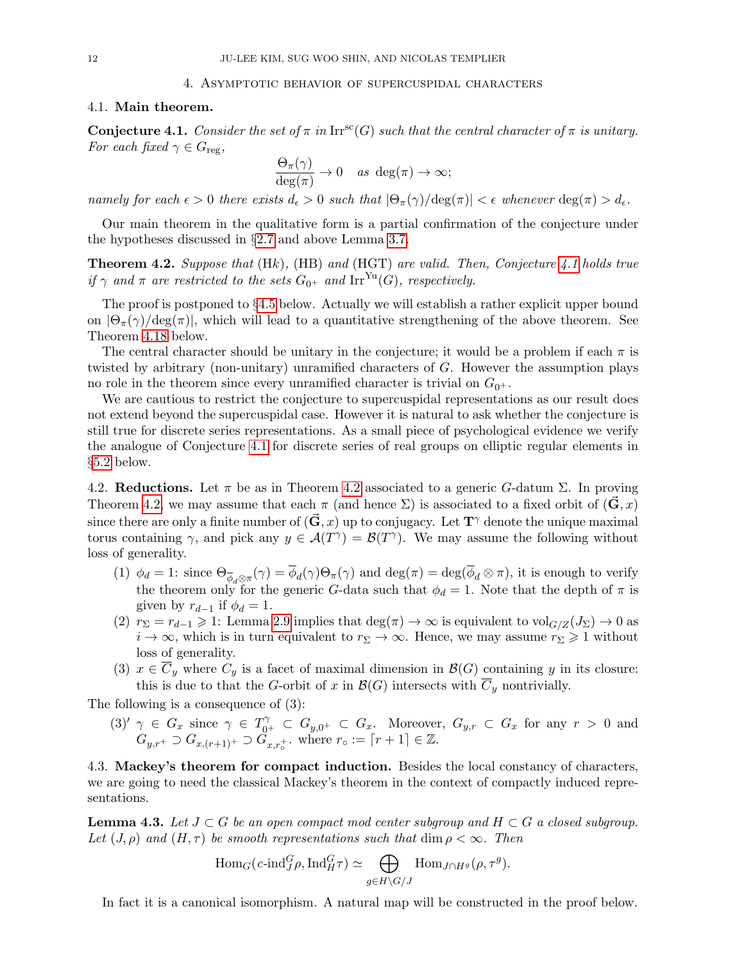### 4. Asymptotic behavior of supercuspidal characters

# <span id="page-11-0"></span>4.1. Main theorem.

<span id="page-11-1"></span>**Conjecture 4.1.** Consider the set of  $\pi$  in Irr<sup>sc</sup>(G) such that the central character of  $\pi$  is unitary. For each fixed  $\gamma \in G_{\text{reg}}$ ,

$$
\frac{\Theta_{\pi}(\gamma)}{\deg(\pi)} \to 0 \quad as \deg(\pi) \to \infty;
$$

namely for each  $\epsilon > 0$  there exists  $d_{\epsilon} > 0$  such that  $|\Theta_{\pi}(\gamma)/\deg(\pi)| < \epsilon$  whenever  $\deg(\pi) > d_{\epsilon}$ .

Our main theorem in the qualitative form is a partial confirmation of the conjecture under the hypotheses discussed in §[2.7](#page-5-1) and above Lemma [3.7.](#page-9-0)

<span id="page-11-2"></span>**Theorem 4.2.** Suppose that  $(Hk)$ ,  $(HB)$  and  $(HGT)$  are valid. Then, Conjecture [4.1](#page-11-1) holds true if  $\gamma$  and  $\pi$  are restricted to the sets  $G_{0+}$  and Irr<sup>Yu</sup>(G), respectively.

The proof is postponed to §[4.5](#page-16-1) below. Actually we will establish a rather explicit upper bound on  $|\Theta_\pi(\gamma)/\text{deg}(\pi)|$ , which will lead to a quantitative strengthening of the above theorem. See Theorem [4.18](#page-18-1) below.

The central character should be unitary in the conjecture; it would be a problem if each  $\pi$  is twisted by arbitrary (non-unitary) unramified characters of G. However the assumption plays no role in the theorem since every unramified character is trivial on  $G_{0^+}$ .

We are cautious to restrict the conjecture to supercuspidal representations as our result does not extend beyond the supercuspidal case. However it is natural to ask whether the conjecture is still true for discrete series representations. As a small piece of psychological evidence we verify the analogue of Conjecture [4.1](#page-11-1) for discrete series of real groups on elliptic regular elements in §[5.2](#page-19-0) below.

<span id="page-11-4"></span>4.2. Reductions. Let  $\pi$  be as in Theorem [4.2](#page-11-2) associated to a generic G-datum  $\Sigma$ . In proving Theorem [4.2,](#page-11-2) we may assume that each  $\pi$  (and hence  $\Sigma$ ) is associated to a fixed orbit of  $(\mathbf{G}, x)$ since there are only a finite number of  $(\mathbf{\vec{G}}, x)$  up to conjugacy. Let  $\mathbf{T}^{\gamma}$  denote the unique maximal torus containing  $\gamma$ , and pick any  $y \in \mathcal{A}(T^{\gamma}) = \mathcal{B}(T^{\gamma})$ . We may assume the following without loss of generality.

- (1)  $\phi_d = 1$ : since  $\Theta_{\phi_d \otimes \pi}(\gamma) = \phi_d(\gamma) \Theta_{\pi}(\gamma)$  and  $\deg(\pi) = \deg(\phi_d \otimes \pi)$ , it is enough to verify the theorem only for the generic G-data such that  $\phi_d = 1$ . Note that the depth of  $\pi$  is given by  $r_{d-1}$  if  $\phi_d = 1$ .
- (2)  $r_{\Sigma} = r_{d-1} \geq 1$ : Lemma [2.9](#page-5-0) implies that  $\deg(\pi) \to \infty$  is equivalent to  $\text{vol}_{G/Z}(J_{\Sigma}) \to 0$  as  $i \to \infty$ , which is in turn equivalent to  $r_{\Sigma} \to \infty$ . Hence, we may assume  $r_{\Sigma} \geq 1$  without loss of generality.
- (3)  $x \in \overline{C}_y$  where  $C_y$  is a facet of maximal dimension in  $\mathcal{B}(G)$  containing y in its closure: this is due to that the G-orbit of x in  $\mathcal{B}(G)$  intersects with  $\overline{C}_y$  nontrivially.

The following is a consequence of (3):

(3)<sup>'</sup>  $\gamma \in G_x$  since  $\gamma \in T_{0^+}^{\gamma} \subset G_{y,0^+} \subset G_x$ . Moreover,  $G_{y,r} \subset G_x$  for any  $r > 0$  and  $G_{y,r^+} \supset G_{x,(r+1)^+} \supset G_{x,r_o^+}$ , where  $r_o := [r+1] \in \mathbb{Z}$ .

4.3. Mackey's theorem for compact induction. Besides the local constancy of characters, we are going to need the classical Mackey's theorem in the context of compactly induced representations.

<span id="page-11-3"></span>**Lemma 4.3.** Let  $J \subset G$  be an open compact mod center subgroup and  $H \subset G$  a closed subgroup. Let  $(J, \rho)$  and  $(H, \tau)$  be smooth representations such that  $\dim \rho < \infty$ . Then

$$
\text{Hom}_G(c\text{-}\text{ind}_{J}^G \rho, \text{Ind}_{H}^G \tau) \simeq \bigoplus_{g \in H \backslash G/J} \text{Hom}_{J \cap H^g}(\rho, \tau^g).
$$

In fact it is a canonical isomorphism. A natural map will be constructed in the proof below.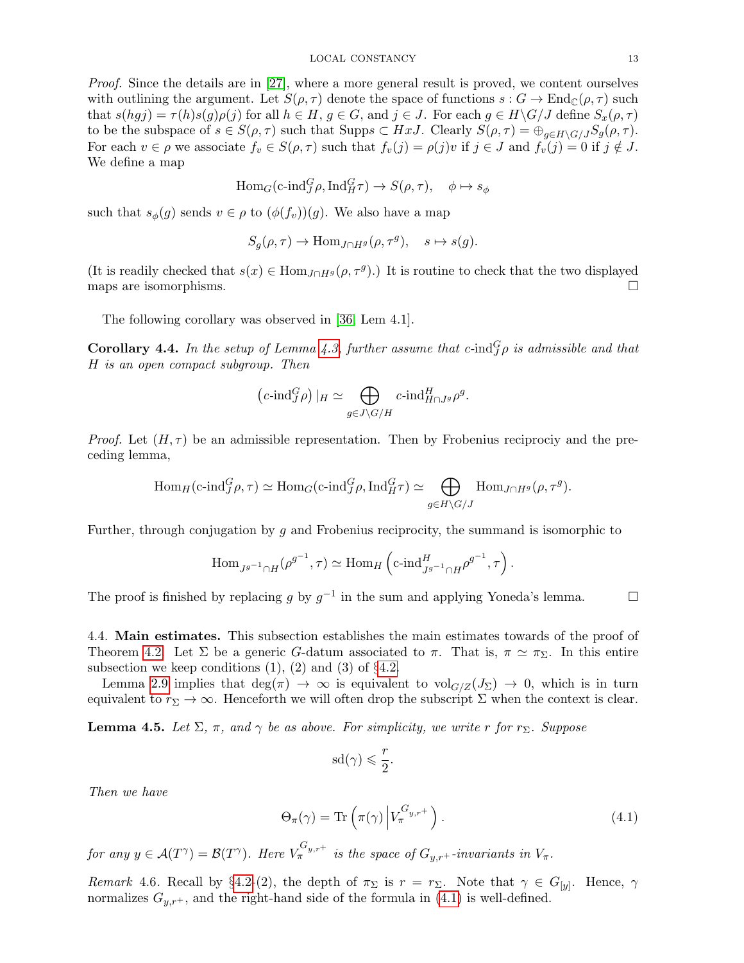Proof. Since the details are in [\[27\]](#page-23-15), where a more general result is proved, we content ourselves with outlining the argument. Let  $S(\rho, \tau)$  denote the space of functions  $s : G \to \text{End}_{\mathbb{C}}(\rho, \tau)$  such that  $s(hgj) = \tau(h)s(g)\rho(j)$  for all  $h \in H, g \in G$ , and  $j \in J$ . For each  $g \in H\backslash G/J$  define  $S_x(\rho, \tau)$ to be the subspace of  $s \in S(\rho, \tau)$  such that Supp $s \subset HxJ$ . Clearly  $S(\rho, \tau) = \bigoplus_{g \in H \backslash G/J} S_g(\rho, \tau)$ . For each  $v \in \rho$  we associate  $f_v \in S(\rho, \tau)$  such that  $f_v(j) = \rho(j)v$  if  $j \in J$  and  $f_v(j) = 0$  if  $j \notin J$ . We define a map

$$
\text{Hom}_G(\text{c-ind}_J^G \rho, \text{Ind}_H^G \tau) \to S(\rho, \tau), \quad \phi \mapsto s_{\phi}
$$

such that  $s_{\phi}(g)$  sends  $v \in \rho$  to  $(\phi(f_v))(g)$ . We also have a map

$$
S_g(\rho, \tau) \to \text{Hom}_{J \cap H^g}(\rho, \tau^g), \quad s \mapsto s(g).
$$

(It is readily checked that  $s(x) \in \text{Hom}_{J \cap H^g}(\rho, \tau^g)$ .) It is routine to check that the two displayed maps are isomorphisms.  $\Box$ 

The following corollary was observed in [\[36,](#page-23-16) Lem 4.1].

<span id="page-12-2"></span>**Corollary 4.4.** In the setup of Lemma [4.3,](#page-11-3) further assume that  $c$ -ind ${}^G_J \rho$  is admissible and that H is an open compact subgroup. Then

$$
(c\text{-}\mathrm{ind}_{J}^{G}\rho) \mid_{H} \simeq \bigoplus_{g\in J\setminus G/H} c\text{-}\mathrm{ind}_{H\cap J^g}^{H}\rho^g.
$$

*Proof.* Let  $(H, \tau)$  be an admissible representation. Then by Frobenius reciprociy and the preceding lemma,

$$
\text{Hom}_{H}(\text{c-ind}_{J}^{G}\rho,\tau) \simeq \text{Hom}_{G}(\text{c-ind}_{J}^{G}\rho,\text{Ind}_{H}^{G}\tau) \simeq \bigoplus_{g \in H \backslash G/J} \text{Hom}_{J \cap H^{g}}(\rho,\tau^{g}).
$$

Further, through conjugation by g and Frobenius reciprocity, the summand is isomorphic to

$$
\operatorname{Hom}_{J^{g^{-1}} \cap H}(\rho^{g^{-1}}, \tau) \simeq \operatorname{Hom}_{H}\left(\operatorname{c-ind}_{J^{g^{-1}} \cap H}^{H} \rho^{g^{-1}}, \tau\right).
$$

The proof is finished by replacing g by  $g^{-1}$  in the sum and applying Yoneda's lemma.  $\Box$ 

4.4. Main estimates. This subsection establishes the main estimates towards of the proof of Theorem [4.2.](#page-11-2) Let  $\Sigma$  be a generic G-datum associated to  $\pi$ . That is,  $\pi \simeq \pi_{\Sigma}$ . In this entire subsection we keep conditions  $(1)$ ,  $(2)$  and  $(3)$  of  $\S 4.2$ .

Lemma [2.9](#page-5-0) implies that deg( $\pi$ )  $\rightarrow \infty$  is equivalent to vol $_{G/Z}(J_{\Sigma}) \rightarrow 0$ , which is in turn equivalent to  $r_{\Sigma} \to \infty$ . Henceforth we will often drop the subscript  $\Sigma$  when the context is clear.

<span id="page-12-1"></span>**Lemma 4.5.** Let  $\Sigma$ ,  $\pi$ , and  $\gamma$  be as above. For simplicity, we write r for r<sub> $\Sigma$ </sub>. Suppose

$$
\textup{sd}(\gamma) \leqslant \frac{r}{2}.
$$

Then we have

<span id="page-12-0"></span>
$$
\Theta_{\pi}(\gamma) = \text{Tr}\left(\pi(\gamma) \left| V_{\pi}^{G_{y,r+}} \right. \right). \tag{4.1}
$$

for any  $y \in \mathcal{A}(T^{\gamma}) = \mathcal{B}(T^{\gamma})$ . Here  $V_{\pi}^{G_{y,r^{+}}}$  is the space of  $G_{y,r^{+}}$ -invariants in  $V_{\pi}$ .

Remark 4.6. Recall by §[4.2-](#page-11-4)(2), the depth of  $\pi_{\Sigma}$  is  $r = r_{\Sigma}$ . Note that  $\gamma \in G_{[y]}$ . Hence,  $\gamma$ normalizes  $G_{y,r+}$ , and the right-hand side of the formula in [\(4.1\)](#page-12-0) is well-defined.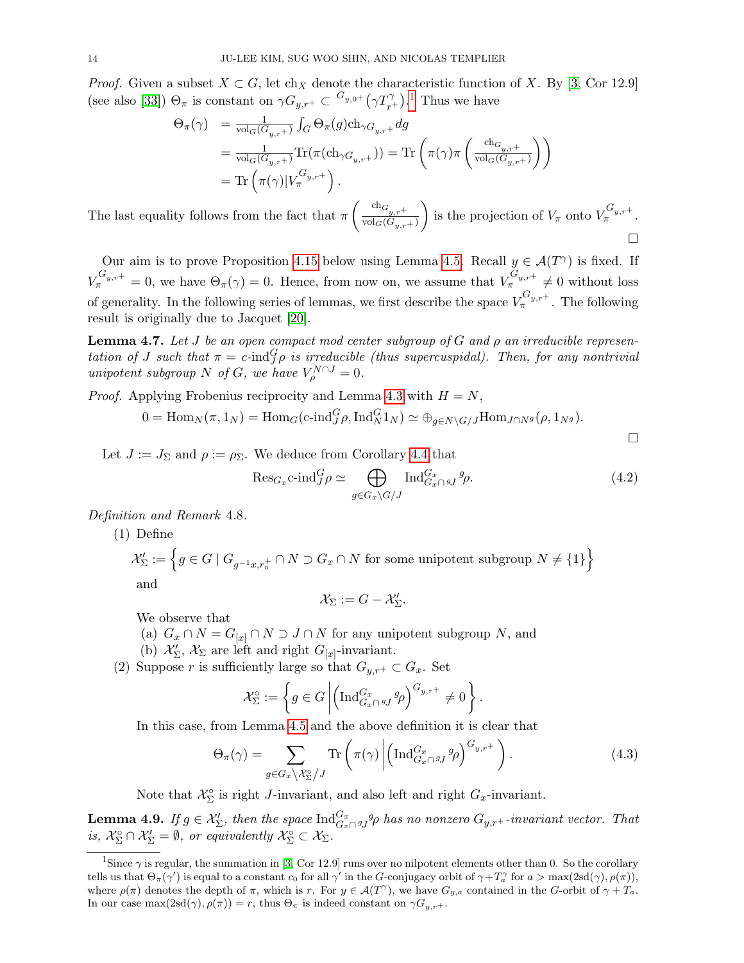*Proof.* Given a subset  $X \subset G$ , let ch<sub>X</sub> denote the characteristic function of X. By [\[3,](#page-22-4) Cor 12.9] (see also [\[33\]](#page-23-2))  $\Theta_{\pi}$  is constant on  $\gamma G_{y,r^+} \subset {}^{G_{y,0^+}} (\gamma T_{r^+}^{\gamma})$ .<sup>[1](#page-13-0)</sup> Thus we have

$$
\Theta_{\pi}(\gamma) = \frac{1}{\text{vol}_{G}(G_{y,r^{+}})} \int_{G} \Theta_{\pi}(g) \text{ch}_{\gamma G_{y,r^{+}}} dg
$$
  
\n
$$
= \frac{1}{\text{vol}_{G}(G_{y,r^{+}})} \text{Tr}(\pi(\text{ch}_{\gamma G_{y,r^{+}}})) = \text{Tr}\left(\pi(\gamma)\pi\left(\frac{\text{ch}_{G_{y,r^{+}}}}{\text{vol}_{G}(G_{y,r^{+}})}\right)\right)
$$
  
\n
$$
= \text{Tr}\left(\pi(\gamma)|V_{\pi}^{G_{y,r^{+}}}\right).
$$

The last equality follows from the fact that  $\pi \left( \frac{\text{ch}_{g,r+1}}{\text{vol}_{\mathcal{Q}}(G)} \right)$  $\mathrm{vol}_G(G_{y,r+})$ ) is the projection of  $V_{\pi}$  onto  $V_{\pi}^{G_{y,r+}}$ . П

Our aim is to prove Proposition [4.15](#page-16-0) below using Lemma [4.5.](#page-12-1) Recall  $y \in \mathcal{A}(T^{\gamma})$  is fixed. If  $V_{\pi}^{G_{y,r^+}}=0$ , we have  $\Theta_{\pi}(\gamma)=0$ . Hence, from now on, we assume that  $V_{\pi}^{G_{y,r^+}}\neq 0$  without loss of generality. In the following series of lemmas, we first describe the space  $V_{\pi}^{G_{y,r^+}}$ . The following result is originally due to Jacquet [\[20\]](#page-22-15).

<span id="page-13-1"></span>**Lemma 4.7.** Let J be an open compact mod center subgroup of G and  $\rho$  an irreducible representation of J such that  $\pi = c$ -ind $_G^G \rho$  is irreducible (thus supercuspidal). Then, for any nontrivial unipotent subgroup N of G, we have  $V_{\rho}^{N\cap J} = 0$ .

*Proof.* Applying Frobenius reciprocity and Lemma [4.3](#page-11-3) with  $H = N$ ,

$$
0 = \text{Hom}_N(\pi, 1_N) = \text{Hom}_G(\text{c-ind}_J^G \rho, \text{Ind}_N^G 1_N) \simeq \bigoplus_{g \in N \backslash G/J} \text{Hom}_{J \cap N^g}(\rho, 1_{N^g}).
$$

Let  $J := J_{\Sigma}$  and  $\rho := \rho_{\Sigma}$ . We deduce from Corollary [4.4](#page-12-2) that

$$
\operatorname{Res}_{G_x} \operatorname{c-ind}_J^G \rho \simeq \bigoplus_{g \in G_x \backslash G/J} \operatorname{Ind}_{G_x \cap g_J}^{G_x} {}^g \rho. \tag{4.2}
$$

 $\Box$ 

Definition and Remark 4.8.

(1) Define

 $\mathcal{X}_{\Sigma}^{\prime} := \left\{ g \in G \mid G_{g^{-1}x, r_{\circ}^{+}} \cap N \supset G_{x} \cap N \text{ for some unipotent subgroup } N \neq \{1\} \right\}$ and  $\mathcal{X}_{\Sigma} := G - \mathcal{X}'_{\Sigma}.$ 

We observe that

- (a)  $G_x \cap N = G_{[x]} \cap N \supset J \cap N$  for any unipotent subgroup N, and
- (b)  $\mathcal{X}'_{\Sigma}$ ,  $\mathcal{X}_{\Sigma}$  are left and right  $G_{[x]}$ -invariant.
- (2) Suppose r is sufficiently large so that  $G_{y,r+} \subset G_x$ . Set

$$
\mathcal{X}_{\Sigma}^{\circ} := \left\{ g \in G \left| \left( \mathrm{Ind}_{G_x \cap g_J}^{G_x} g_{\rho} \right)^{G_{y,r+1}} \neq 0 \right. \right\}.
$$

In this case, from Lemma [4.5](#page-12-1) and the above definition it is clear that

<span id="page-13-2"></span>
$$
\Theta_{\pi}(\gamma) = \sum_{g \in G_x \setminus \mathcal{X}_{\Sigma}^{\circ}/J} \text{Tr}\left(\pi(\gamma) \left| \left(\text{Ind}_{G_x \cap gJ}^{G_x} g_{\rho}\right)^{G_{y,r+}}\right.\right). \tag{4.3}
$$

Note that  $\mathcal{X}_{\Sigma}^{\circ}$  is right *J*-invariant, and also left and right  $G_x$ -invariant.

<span id="page-13-3"></span>**Lemma 4.9.** If  $g \in \mathcal{X}'_{\Sigma}$ , then the space  $\text{Ind}_{G_x \cap g_J}^{G_x} g \rho$  has no nonzero  $G_{y,r+}$ -invariant vector. That is,  $\mathcal{X}_{\Sigma}^{\circ} \cap \mathcal{X}_{\Sigma}' = \emptyset$ , or equivalently  $\mathcal{X}_{\Sigma}^{\circ} \subset \mathcal{X}_{\Sigma}$ .

<span id="page-13-0"></span><sup>&</sup>lt;sup>1</sup>Since  $\gamma$  is regular, the summation in [\[3,](#page-22-4) Cor 12.9] runs over no nilpotent elements other than 0. So the corollary tells us that  $\Theta_{\pi}(\gamma')$  is equal to a constant  $c_0$  for all  $\gamma'$  in the G-conjugacy orbit of  $\gamma + T_a^{\gamma}$  for  $a > \max(2\text{sd}(\gamma), \rho(\pi))$ , where  $\rho(\pi)$  denotes the depth of  $\pi$ , which is r. For  $y \in \mathcal{A}(T^{\gamma})$ , we have  $G_{y,a}$  contained in the G-orbit of  $\gamma + T_a$ . In our case  $\max(2\text{sd}(\gamma), \rho(\pi)) = r$ , thus  $\Theta_{\pi}$  is indeed constant on  $\gamma G_{y,r^{+}}$ .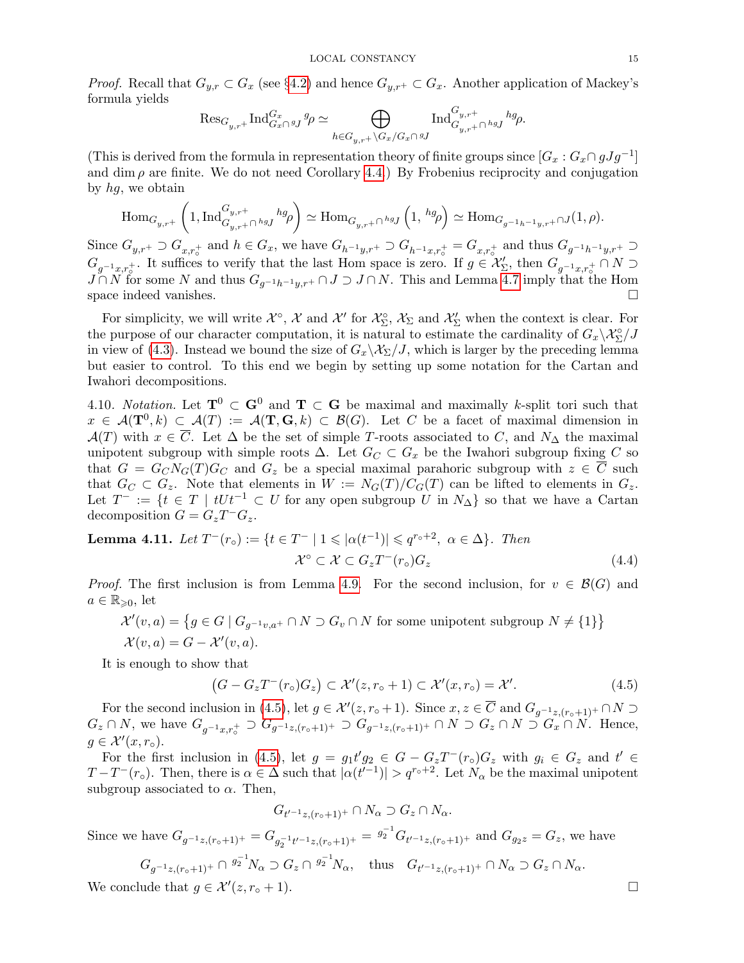*Proof.* Recall that  $G_{y,r} \subset G_x$  (see §[4.2\)](#page-11-4) and hence  $G_{y,r+} \subset G_x$ . Another application of Mackey's formula yields

$$
\mathrm{Res}_{G_{y,r}+}\mathrm{Ind}_{G_x\cap \,gJ}^{G_x}g\rho \simeq \bigoplus_{h\in G_{y,r}+\backslash G_x/G_x\cap \,gJ}\mathrm{Ind}_{G_{y,r}+\cap \,h g_J}^{G_{y,r}+}h g\rho.
$$

(This is derived from the formula in representation theory of finite groups since  $[G_x : G_x \cap gJg^{-1}]$ and dim  $\rho$  are finite. We do not need Corollary [4.4.](#page-12-2)) By Frobenius reciprocity and conjugation by hg, we obtain

$$
\mathrm{Hom}_{G_{y,r^+}}\left(1,\mathrm{Ind}_{G_{y,r^+} \cap {}^{h g} J}^{G_{y,r^+}} {}^{h g}\rho\right) \simeq \mathrm{Hom}_{G_{y,r^+} \cap {}^{h g} J}\left(1, \ {}^{h g}\rho\right) \simeq \mathrm{Hom}_{G_{g^{-1}h^{-1}y,r^+} \cap J}(1,\rho).
$$

Since  $G_{y,r+} \supset G_{x,r_o^+}$  and  $h \in G_x$ , we have  $G_{h^{-1}y,r^+} \supset G_{h^{-1}x,r_o^+} = G_{x,r_o^+}$  and thus  $G_{g^{-1}h^{-1}y,r^+} \supset$  $G_{g^{-1}x,r_0^+}$ . It suffices to verify that the last Hom space is zero. If  $g \in \mathcal{X}'_{\Sigma}$ , then  $G_{g^{-1}x,r_0^+} \cap N \supset$  $J \cap N$  for some N and thus  $G_{q^{-1}h^{-1}y,r+} \cap J \supset J \cap N$ . This and Lemma [4.7](#page-13-1) imply that the Hom space indeed vanishes.  $\Box$ 

For simplicity, we will write  $\mathcal{X}^{\circ}$ ,  $\mathcal{X}$  and  $\mathcal{X}'$  for  $\mathcal{X}_{\Sigma}^{\circ}$ ,  $\mathcal{X}_{\Sigma}$  and  $\mathcal{X}'_{\Sigma}$  when the context is clear. For the purpose of our character computation, it is natural to estimate the cardinality of  $G_x\backslash \mathcal{X}_{\Sigma}^{\circ}/J$ in view of [\(4.3\)](#page-13-2). Instead we bound the size of  $G_x\backslash \mathcal{X}_{\Sigma}/J$ , which is larger by the preceding lemma but easier to control. To this end we begin by setting up some notation for the Cartan and Iwahori decompositions.

4.10. Notation. Let  $T^0 \subset G^0$  and  $T \subset G$  be maximal and maximally k-split tori such that  $x \in \mathcal{A}(\mathbf{T}^0, k) \subset \mathcal{A}(T) := \mathcal{A}(\mathbf{T}, \mathbf{G}, k) \subset \mathcal{B}(G)$ . Let C be a facet of maximal dimension in  $\mathcal{A}(T)$  with  $x \in \overline{C}$ . Let  $\Delta$  be the set of simple T-roots associated to C, and  $N_{\Delta}$  the maximal unipotent subgroup with simple roots  $\Delta$ . Let  $G_C \subset G_x$  be the Iwahori subgroup fixing C so that  $G = G_C N_G(T) G_C$  and  $G_z$  be a special maximal parahoric subgroup with  $z \in \overline{C}$  such that  $G_C \subset G_z$ . Note that elements in  $W := N_G(T)/C_G(T)$  can be lifted to elements in  $G_z$ . Let  $T^- := \{t \in T \mid tUt^{-1} \subset U \text{ for any open subgroup } U \text{ in } N_\Delta \}$  so that we have a Cartan decomposition  $G = G_z T^- G_z$ .

<span id="page-14-1"></span>**Lemma 4.11.** Let 
$$
T^-(r_\circ) := \{ t \in T^- \mid 1 \leqslant |\alpha(t^{-1})| \leqslant q^{r_\circ+2}, \ \alpha \in \Delta \}
$$
. Then  

$$
\mathcal{X}^\circ \subset \mathcal{X} \subset G_z T^-(r_\circ) G_z \tag{4.4}
$$

*Proof.* The first inclusion is from Lemma [4.9.](#page-13-3) For the second inclusion, for  $v \in \mathcal{B}(G)$  and  $a \in \mathbb{R}_{\geqslant 0}$ , let

$$
\mathcal{X}'(v,a) = \{ g \in G \mid G_{g^{-1}v,a^+} \cap N \supset G_v \cap N \text{ for some unipotent subgroup } N \neq \{1\} \}
$$

$$
\mathcal{X}(v,a) = G - \mathcal{X}'(v,a).
$$

It is enough to show that

<span id="page-14-2"></span><span id="page-14-0"></span>
$$
(G - G_z T^-(r_\circ) G_z) \subset \mathcal{X}'(z, r_\circ + 1) \subset \mathcal{X}'(x, r_\circ) = \mathcal{X}'.
$$
\n
$$
(4.5)
$$

For the second inclusion in (4.[5\)](#page-14-0), let  $g \in \mathcal{X}'(z, r \circ +1)$ . Since  $x, z \in \overline{C}$  and  $G_{g^{-1}z, (r \circ +1)}$ +  $\cap N \supset$  $G_z \cap N$ , we have  $G_{g^{-1}x,r_o^+} \supset G_{g^{-1}z,(r_o+1)^+} \supset G_{g^{-1}z,(r_o+1)^+} \cap N \supset G_z \cap N \supset G_x \cap N$ . Hence,  $g \in \mathcal{X}'(x,r_{\circ}).$ 

For the first inclusion in (4.[5\)](#page-14-0), let  $g = g_1 t' g_2 \in G - G_z T^{-}(r_0) G_z$  with  $g_i \in G_z$  and  $t' \in$  $T-T^{-}(r_{\circ}).$  Then, there is  $\alpha \in \Delta$  such that  $|\alpha(t^{-1})| > q^{r_{\circ}+2}$ . Let  $N_{\alpha}$  be the maximal unipotent subgroup associated to  $\alpha$ . Then,

$$
G_{t'-1_{z,(r_o+1)^+}} \cap N_{\alpha} \supset G_z \cap N_{\alpha}.
$$

Since we have  $G_{g^{-1}z,(r_0+1)^+} = G_{g_2^{-1}t'^{-1}z,(r_0+1)^+} = g_2^{-1}G_{t'^{-1}z,(r_0+1)^+}$  and  $G_{g_2z} = G_z$ , we have

$$
G_{g^{-1}z,(r_0+1)^+} \cap {}^{g_2^{-1}}N_\alpha \supset G_z \cap {}^{g_2^{-1}}N_\alpha, \quad \text{thus} \quad G_{t'^{-1}z,(r_0+1)^+} \cap N_\alpha \supset G_z \cap N_\alpha.
$$
  
We conclude that  $g \in \mathcal{X}'(z,r_0+1)$ .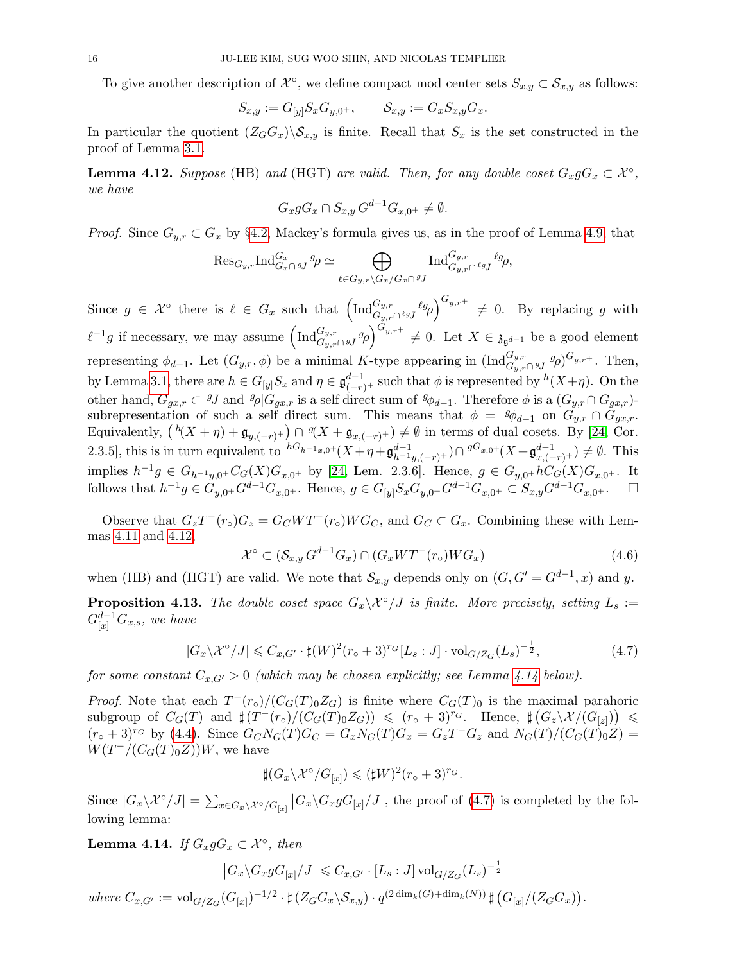To give another description of  $\mathcal{X}^{\circ}$ , we define compact mod center sets  $S_{x,y} \subset S_{x,y}$  as follows:

$$
S_{x,y}:=G_{[y]}S_xG_{y,0^+},\qquad \mathcal{S}_{x,y}:=G_xS_{x,y}G_x.
$$

In particular the quotient  $(Z_GG_x)\backslash \mathcal{S}_{x,y}$  is finite. Recall that  $S_x$  is the set constructed in the proof of Lemma [3.1.](#page-6-1)

<span id="page-15-0"></span>**Lemma 4.12.** Suppose (HB) and (HGT) are valid. Then, for any double coset  $G_xgG_x \subset \mathcal{X}^{\circ}$ , we have

$$
G_x g G_x \cap S_{x,y} G^{d-1} G_{x,0^+} \neq \emptyset.
$$

*Proof.* Since  $G_{y,r} \subset G_x$  by §[4.2,](#page-11-4) Mackey's formula gives us, as in the proof of Lemma [4.9,](#page-13-3) that

$$
\mathrm{Res}_{G_{y,r}}\mathrm{Ind}_{G_x\cap {^{g_j}}^g\varphi}^{G_x} \simeq \bigoplus_{\ell\in G_{y,r}\backslash G_x/G_x\cap {^{g_j}}^g}\mathrm{Ind}_{G_{y,r}\cap {^{g_j}}^g\ell^g\varphi},
$$

Since  $g \in \mathcal{X}^{\circ}$  there is  $\ell \in G_x$  such that  $\left( \text{Ind}_{G_y,r}^{G_y,r} \ell_{g}g \right)^{G_{y,r+1}} \neq 0$ . By replacing g with  $\ell^{-1}g$  if necessary, we may assume  $\left( \text{Ind}_{G_{y,r}\cap gJ}^{G_{y,r}}g\rho\right)^{G_{y,r}+}\neq 0$ . Let  $X\in \mathfrak{z}_{\mathfrak{g}^{d-1}}$  be a good element representing  $\phi_{d-1}$ . Let  $(G_{y,r}, \phi)$  be a minimal K-type appearing in  $(\text{Ind}_{G_{y,r}\cap gJ}^{G_{y,r}} g_{\rho})^{G_{y,r+}}$ . Then, by Lemma [3.1,](#page-6-1) there are  $h \in G_{[y]}S_x$  and  $\eta \in \mathfrak{g}_{(-r)+}^{d-1}$  such that  $\phi$  is represented by  $h(X+\eta)$ . On the other hand,  $G_{gx,r} \subset \mathcal{G}J$  and  $\mathcal{G}_{\rho}[\mathcal{G}_{gx,r}]$  is a self direct sum of  $\mathcal{G}_{\phi}[\rho]$ . Therefore  $\phi$  is a  $(\mathcal{G}_{y,r} \cap \mathcal{G}_{gx,r})$ subrepresentation of such a self direct sum. This means that  $\phi = {}^g\phi_{d-1}$  on  $G_{y,r} \cap G_{gx,r}$ . Equivalently,  $(h(X + \eta) + \mathfrak{g}_{y, (-r)^+}) \cap {}^g(X + \mathfrak{g}_{x, (-r)^+}) \neq \emptyset$  in terms of dual cosets. By [\[24,](#page-23-7) Cor. 2.3.5], this is in turn equivalent to  ${}^{hG_{h-1_x,0+}}(X+\eta+\mathfrak{g}^{d-1}_{h^{-1}y,(-r)^+}) \cap {}^{gG_{x,0+}}(X+\mathfrak{g}^{d-1}_{x,(-r)^+}) \neq \emptyset$ . This implies  $h^{-1}g \in G_{h^{-1}y,0^+}C_G(X)G_{x,0^+}$  by [\[24,](#page-23-7) Lem. 2.3.6]. Hence,  $g \in G_{y,0^+}hC_G(X)G_{x,0^+}$ . It follows that  $h^{-1}g \in \tilde{G}_{y,0^+}G^{d-1}G_{x,0^+}$ . Hence,  $g \in G_{[y]}S_xG_{y,0^+}G^{d-1}G_{x,0^+} \subset S_{x,y}G^{d-1}G_{x,0^+}$ .  $\Box$ 

Observe that  $G_zT^-(r_\circ)G_z = G_CWT^-(r_\circ)WG_C$ , and  $G_C \subset G_x$ . Combining these with Lemmas [4.11](#page-14-1) and [4.12,](#page-15-0)

<span id="page-15-3"></span>
$$
\mathcal{X}^{\circ} \subset (\mathcal{S}_{x,y} G^{d-1} G_x) \cap (G_x W T^-(r_{\circ}) W G_x) \tag{4.6}
$$

when (HB) and (HGT) are valid. We note that  $\mathcal{S}_{x,y}$  depends only on  $(G, G' = G^{d-1}, x)$  and y.

<span id="page-15-4"></span>**Proposition 4.13.** The double coset space  $G_x\backslash \mathcal{X}^{\circ}/J$  is finite. More precisely, setting  $L_s :=$  $G_{[x]}^{d-1}G_{x,s},\ we\ have$ 

<span id="page-15-2"></span>
$$
|G_x \backslash \mathcal{X}^\circ / J| \leq C_{x, G'} \cdot \sharp (W)^2 (r_\circ + 3)^{r_G} [L_s : J] \cdot \text{vol}_{G/Z_G}(L_s)^{-\frac{1}{2}},\tag{4.7}
$$

for some constant  $C_{x,G'} > 0$  (which may be chosen explicitly; see Lemma [4.14](#page-15-1) below).

*Proof.* Note that each  $T^-(r_o)/(C_G(T)_0Z_G)$  is finite where  $C_G(T)_0$  is the maximal parahoric  $\text{subgroup of } C_G(T) \text{ and } \sharp(T^-(r_o)/(C_G(T)_0Z_G)) \leqslant (r_o + 3)^{r_G}$ . Hence,  $\sharp (G_z \setminus \mathcal{X}/(G_{[z]})) \leqslant$  $(r_0+3)^{r_G}$  by [\(4.4\)](#page-14-2). Since  $G_C N_G(T)G_C = G_x N_G(T)G_x = G_z T^{-} G_z$  and  $N_G(T)/(C_G(T)_0 Z) =$  $W(T^{-}/(C_{G}(T)_{0}Z))W$ , we have

$$
\sharp (G_x \backslash \mathcal{X}^\circ / G_{[x]}) \leq (\sharp W)^2 (r_\circ + 3)^{r_G}.
$$

Since  $|G_x \backslash \mathcal{X}^{\circ}/J| = \sum_{x \in G_x \backslash \mathcal{X}^{\circ}/G_{[x]}} |G_x \backslash G_x g G_{[x]}/J|$ , the proof of [\(4.7\)](#page-15-2) is completed by the following lemma:

<span id="page-15-1"></span>**Lemma 4.14.** If  $G_x g G_x \subset \mathcal{X}^{\circ}$ , then

$$
\left|G_x \backslash G_x g G_{[x]}/J\right| \leqslant C_{x,G'} \cdot [L_s:J] \operatorname{vol}_{G/Z_G}(L_s)^{-\frac{1}{2}}
$$

where  $C_{x,G'} := \text{vol}_{G/Z_G}(G_{[x]})^{-1/2} \cdot \#(Z_GG_x \backslash \mathcal{S}_{x,y}) \cdot q^{(2 \dim_k(G) + \dim_k(N))} \#(G_{[x]}/(Z_GG_x)).$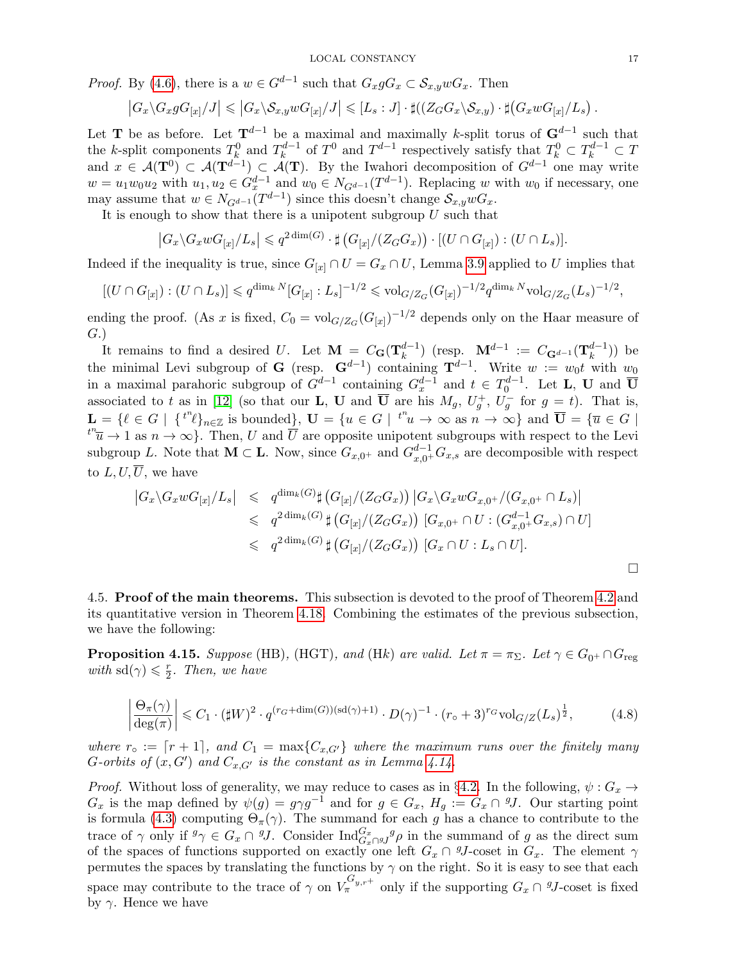*Proof.* By [\(4.6\)](#page-15-3), there is a  $w \in G^{d-1}$  such that  $G_x g G_x \subset S_{x,y} w G_x$ . Then

$$
\left|G_x\backslash G_x g G_{[x]}/J\right| \leqslant \left|G_x\backslash S_{x,y} w G_{[x]}/J\right| \leqslant [L_s:J]\cdot \sharp ((Z_GG_x\backslash S_{x,y})\cdot \sharp (G_x w G_{[x]}/L_s).
$$

Let **T** be as before. Let  $T^{d-1}$  be a maximal and maximally k-split torus of  $G^{d-1}$  such that the *k*-split components  $T_k^0$  and  $T_k^{d-1}$  $x_k^{d-1}$  of  $T^0$  and  $T^{d-1}$  respectively satisfy that  $T_k^0 \subset T_k^{d-1} \subset T$ and  $x \in \mathcal{A}(\mathbf{T}^{0}) \subset \mathcal{A}(\mathbf{T}^{d-1}) \subset \mathcal{A}(\mathbf{T})$ . By the Iwahori decomposition of  $G^{d-1}$  one may write  $w = u_1 w_0 u_2$  with  $u_1, u_2 \in G_x^{d-1}$  and  $w_0 \in N_{G^{d-1}}(T^{d-1})$ . Replacing w with  $w_0$  if necessary, one may assume that  $w \in N_{G^{d-1}}(T^{d-1})$  since this doesn't change  $S_{x,y}wG_x$ .

It is enough to show that there is a unipotent subgroup  $U$  such that

$$
\left|G_x \backslash G_x w G_{[x]}/L_s\right| \leqslant q^{2\dim(G)} \cdot \sharp \left(G_{[x]}/(Z_G G_x)\right) \cdot \left[(U \cap G_{[x]}) : (U \cap L_s)\right].
$$

Indeed if the inequality is true, since  $G_{[x]} \cap U = G_x \cap U$ , Lemma [3.9](#page-10-0) applied to U implies that

$$
[(U \cap G_{[x]}): (U \cap L_s)] \leqslant q^{\dim_k N} [G_{[x]}: L_s]^{-1/2} \leqslant \text{vol}_{G/Z_G}(G_{[x]})^{-1/2} q^{\dim_k N} \text{vol}_{G/Z_G}(L_s)^{-1/2},
$$

ending the proof. (As x is fixed,  $C_0 = \text{vol}_{G/Z_G}(G_{[x]})^{-1/2}$  depends only on the Haar measure of G.)

It remains to find a desired U. Let  $\mathbf{M} = C_{\mathbf{G}}(\mathbf{T}_{k}^{d-1})$  $\binom{d-1}{k}$  (resp.  $\mathbf{M}^{d-1}$  :=  $C_{\mathbf{G}^{d-1}}(\mathbf{T}^{d-1}_{k})$  $\binom{d-1}{k}$ ) be the minimal Levi subgroup of G (resp.  $G^{d-1}$ ) containing  $T^{d-1}$ . Write  $w := w_0 t$  with  $w_0$ in a maximal parahoric subgroup of  $G^{d-1}$  containing  $G_x^{d-1}$  and  $t \in T_0^{d-1}$ . Let **L**, **U** and  $\overline{\mathbf{U}}$ associated to t as in [\[12\]](#page-22-16) (so that our **L**, **U** and  $\overline{U}$  are his  $M_g$ ,  $U_g^+$ ,  $U_g^-$  for  $g = t$ ). That is,  $\mathbf{L} = \{ \ell \in G \mid \{t^n \ell\}_{n \in \mathbb{Z}} \text{ is bounded} \}, \ \mathbf{U} = \{u \in G \mid \{t^n u \to \infty \text{ as } n \to \infty\} \text{ and } \overline{\mathbf{U}} = \{ \overline{u} \in G \mid \mathbf{U} \in G \mid \mathbf{U} \in G \}$  $t^n\overline{u} \to 1$  as  $n \to \infty$ . Then, U and  $\overline{U}$  are opposite unipotent subgroups with respect to the Levi subgroup L. Note that  $M \subset L$ . Now, since  $G_{x,0^+}$  and  $G_{x,0^+}^{d-1}G_{x,s}$  are decomposible with respect to  $L, U, \overline{U}$ , we have

<span id="page-16-2"></span>
$$
|G_x \setminus G_x w G_{[x]}/L_s| \leq q^{\dim_k(G)} \sharp \left( G_{[x]}/(Z_G G_x) \right) |G_x \setminus G_x w G_{x,0^+}/(G_{x,0^+} \cap L_s) |
$$
  

$$
\leq q^{2\dim_k(G)} \sharp \left( G_{[x]}/(Z_G G_x) \right) [G_{x,0^+} \cap U : (G_{x,0^+}^{d-1} G_{x,s}) \cap U]
$$
  

$$
\leq q^{2\dim_k(G)} \sharp \left( G_{[x]}/(Z_G G_x) \right) [G_x \cap U : L_s \cap U].
$$

<span id="page-16-1"></span>4.5. Proof of the main theorems. This subsection is devoted to the proof of Theorem [4.2](#page-11-2) and its quantitative version in Theorem [4.18.](#page-18-1) Combining the estimates of the previous subsection, we have the following:

<span id="page-16-0"></span>**Proposition 4.15.** Suppose (HB), (HGT), and (Hk) are valid. Let  $\pi = \pi_{\Sigma}$ . Let  $\gamma \in G_{0^+} \cap G_{reg}$ with  $\text{sd}(\gamma) \leq \frac{r}{2}$  $\frac{r}{2}$ . Then, we have

$$
\left|\frac{\Theta_{\pi}(\gamma)}{\deg(\pi)}\right| \leq C_1 \cdot (\sharp W)^2 \cdot q^{(r_G + \dim(G))(\mathrm{sd}(\gamma) + 1)} \cdot D(\gamma)^{-1} \cdot (r_\circ + 3)^{r_G} \mathrm{vol}_{G/Z}(L_s)^{\frac{1}{2}},\tag{4.8}
$$

where  $r_{\circ} := [r + 1]$ , and  $C_1 = \max\{C_{x,G'}\}$  where the maximum runs over the finitely many G-orbits of  $(x, G')$  and  $C_{x, G'}$  is the constant as in Lemma [4.14.](#page-15-1)

*Proof.* Without loss of generality, we may reduce to cases as in §[4.2.](#page-11-4) In the following,  $\psi$ :  $G_x \rightarrow$  $G_x$  is the map defined by  $\psi(g) = g \gamma g^{-1}$  and for  $g \in G_x$ ,  $H_g := G_x \cap {}^g J$ . Our starting point is formula [\(4.3\)](#page-13-2) computing  $\Theta_{\pi}(\gamma)$ . The summand for each g has a chance to contribute to the trace of  $\gamma$  only if  $g\gamma \in G_x \cap gJ$ . Consider  $\text{Ind}_{G_x \cap gJ}^{G_x} g \rho$  in the summand of g as the direct sum of the spaces of functions supported on exactly one left  $G_x \cap {}^gJ$ -coset in  $G_x$ . The element  $\gamma$ permutes the spaces by translating the functions by  $\gamma$  on the right. So it is easy to see that each space may contribute to the trace of  $\gamma$  on  $V_{\pi}^{G_{y,r^+}}$  only if the supporting  $G_x \cap {}^{g}J$ -coset is fixed by  $\gamma$ . Hence we have

 $\Box$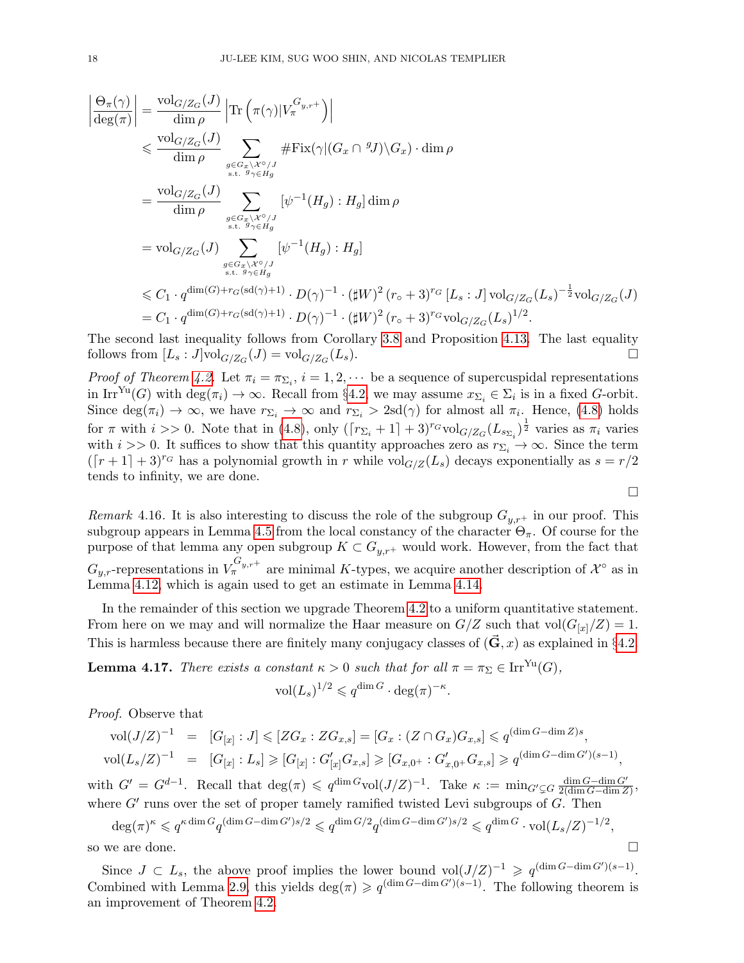$$
\begin{split} \left| \frac{\Theta_{\pi}(\gamma)}{\deg(\pi)} \right| &= \frac{\mathrm{vol}_{G/Z_G}(J)}{\dim \rho} \left| \mathrm{Tr} \left( \pi(\gamma) | V_{\pi}^{G_{y,r+}} \right) \right| \\ &\leqslant \frac{\mathrm{vol}_{G/Z_G}(J)}{\dim \rho} \sum_{g \in G_x \setminus \mathcal{X}^{\circ}/J \atop \text{s.t. } g_{\gamma \in H_g}} \# \mathrm{Fix}(\gamma | (G_x \cap {}^g J) \setminus G_x) \cdot \dim \rho \\ &= \frac{\mathrm{vol}_{G/Z_G}(J)}{\dim \rho} \sum_{g \in G_x \setminus \mathcal{X}^{\circ}/J \atop \text{s.t. } g_{\gamma \in H_g}} [\psi^{-1}(H_g) : H_g] \dim \rho \\ &= \mathrm{vol}_{G/Z_G}(J) \sum_{g \in G_x \setminus \mathcal{X}^{\circ}/J \atop \text{s.t. } g_{\gamma \in H_g}} [\psi^{-1}(H_g) : H_g] \\ &\leqslant C_1 \cdot q^{\dim(G) + r_G(\mathrm{sd}(\gamma) + 1)} \cdot D(\gamma)^{-1} \cdot (\sharp W)^2 (r_{\circ} + 3)^{r_G} [L_s : J] \, \mathrm{vol}_{G/Z_G}(L_s)^{-\frac{1}{2}} \mathrm{vol}_{G/Z_G}(J) \\ &= C_1 \cdot q^{\dim(G) + r_G(\mathrm{sd}(\gamma) + 1)} \cdot D(\gamma)^{-1} \cdot (\sharp W)^2 (r_{\circ} + 3)^{r_G} \mathrm{vol}_{G/Z_G}(L_s)^{1/2}. \end{split}
$$

The second last inequality follows from Corollary [3.8](#page-10-1) and Proposition [4.13.](#page-15-4) The last equality follows from  $[L_s:J] \text{vol}_{G/Z_G}(J) = \text{vol}_{G/Z_G}$  $(L_s)$ .

*Proof of Theorem [4.2.](#page-11-2)* Let  $\pi_i = \pi_{\Sigma_i}$ ,  $i = 1, 2, \cdots$  be a sequence of supercuspidal representations in Irr<sup>Yu</sup>(G) with deg( $\pi_i$ )  $\to \infty$ . Recall from §[4.2,](#page-11-4) we may assume  $x_{\Sigma_i} \in \Sigma_i$  is in a fixed G-orbit. Since  $\deg(\pi_i) \to \infty$ , we have  $r_{\Sigma_i} \to \infty$  and  $r_{\Sigma_i} > 2sd(\gamma)$  for almost all  $\pi_i$ . Hence, [\(4.8\)](#page-16-2) holds for  $\pi$  with  $i >> 0$ . Note that in [\(4.8\)](#page-16-2), only  $(\lceil r_{\Sigma_i} + 1 \rceil + 3)^{r_G} \text{vol}_{G/Z_G}(L_{s_{\Sigma_i}})^{\frac{1}{2}}$  varies as  $\pi_i$  varies with  $i >> 0$ . It suffices to show that this quantity approaches zero as  $r_{\Sigma_i} \to \infty$ . Since the term  $(\lceil r + 1 \rceil + 3)^{r_G}$  has a polynomial growth in r while vol<sub>G/Z</sub>( $L_s$ ) decays exponentially as  $s = r/2$ tends to infinity, we are done.

Remark 4.16. It is also interesting to discuss the role of the subgroup  $G_{y,r+}$  in our proof. This subgroup appears in Lemma [4.5](#page-12-1) from the local constancy of the character  $\Theta_{\pi}$ . Of course for the purpose of that lemma any open subgroup  $K \subset G_{y,r^+}$  would work. However, from the fact that  $G_{y,r}$ -representations in  $V_{\pi}^{G_{y,r+}}$  are minimal K-types, we acquire another description of  $\mathcal{X}^{\circ}$  as in Lemma [4.12,](#page-15-0) which is again used to get an estimate in Lemma [4.14.](#page-15-1)

In the remainder of this section we upgrade Theorem [4.2](#page-11-2) to a uniform quantitative statement. From here on we may and will normalize the Haar measure on  $G/Z$  such that  $vol(G_{x}/Z) = 1$ . This is harmless because there are finitely many conjugacy classes of  $(\vec{G}, x)$  as explained in §[4.2.](#page-11-4)

<span id="page-17-0"></span>**Lemma 4.17.** There exists a constant  $\kappa > 0$  such that for all  $\pi = \pi_{\Sigma} \in \text{Irr}^{\text{Yu}}(G)$ ,

$$
\text{vol}(L_s)^{1/2} \leqslant q^{\dim G} \cdot \deg(\pi)^{-\kappa}.
$$

Proof. Observe that

<span id="page-17-1"></span>
$$
\text{vol}(J/Z)^{-1} = [G_{[x]} : J] \leqslant [ZG_x : ZG_{x,s}] = [G_x : (Z \cap G_x)G_{x,s}] \leqslant q^{(\dim G - \dim Z)s},
$$
  
\n
$$
\text{vol}(L_s/Z)^{-1} = [G_{[x]} : L_s] \geqslant [G_{[x]} : G'_{[x]}G_{x,s}] \geqslant [G_{x,0^+} : G'_{x,0^+}G_{x,s}] \geqslant q^{(\dim G - \dim G')(s-1)},
$$

with  $G' = G^{d-1}$ . Recall that  $\deg(\pi) \leqslant q^{\dim G} \text{vol}(J/Z)^{-1}$ . Take  $\kappa := \min_{G' \subsetneq G} \frac{\dim G - \dim G'}{2(\dim G - \dim Z)}$  $\frac{\dim G - \dim G'}{2(\dim G - \dim Z)},$ where  $G'$  runs over the set of proper tamely ramified twisted Levi subgroups of  $G$ . Then

 $\deg(\pi)^\kappa \leqslant q^{\kappa \dim G} q^{(\dim G - \dim G')s/2} \leqslant q^{\dim G/2} q^{(\dim G - \dim G')s/2} \leqslant q^{\dim G} \cdot \text{vol}(L_s/Z)^{-1/2},$ 

so we are done.

Since  $J \subset L_s$ , the above proof implies the lower bound vol $(J/Z)^{-1} \geqslant q^{(\dim G - \dim G')(s-1)}$ . Combined with Lemma [2.9,](#page-5-0) this yields deg( $\pi$ )  $\geq q^{(\dim G - \dim G')(\hat{s}-1)}$ . The following theorem is an improvement of Theorem [4.2.](#page-11-2)

$$
\qquad \qquad \Box
$$

 $\Box$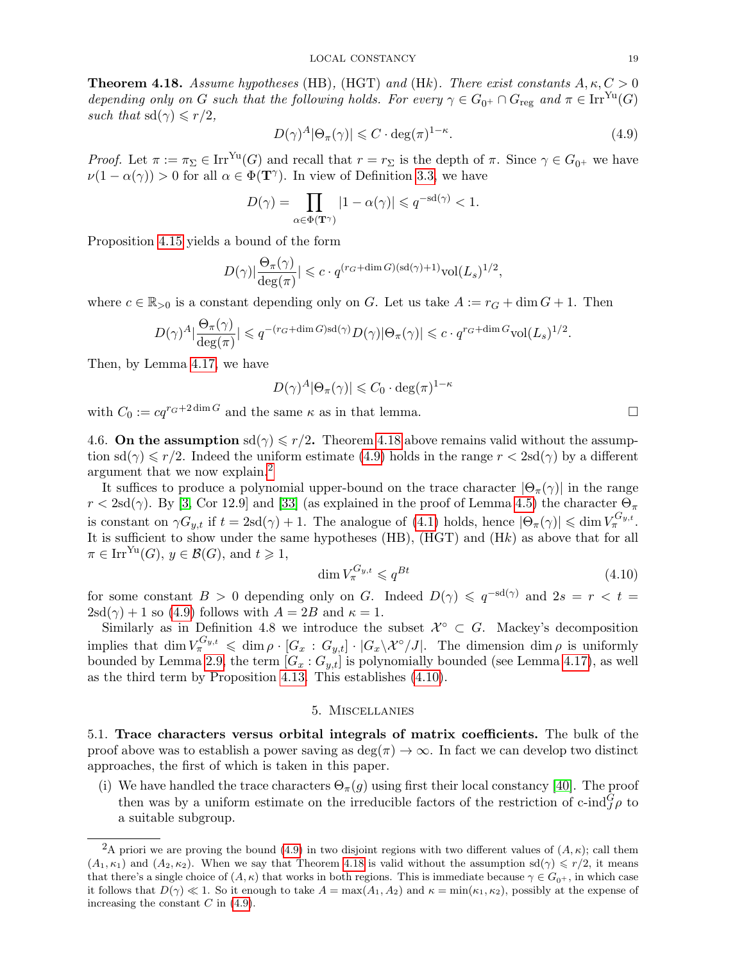<span id="page-18-1"></span>**Theorem 4.18.** Assume hypotheses (HB), (HGT) and (Hk). There exist constants  $A, \kappa, C > 0$ depending only on G such that the following holds. For every  $\gamma \in G_{0^+} \cap G_{\text{reg}}$  and  $\pi \in \text{Irr}^{\text{Yu}}(G)$ such that  $sd(\gamma) \leq r/2$ ,

$$
D(\gamma)^A |\Theta_{\pi}(\gamma)| \leqslant C \cdot \deg(\pi)^{1-\kappa}.
$$
\n(4.9)

Proof. Let  $\pi := \pi_{\Sigma} \in \text{Irr}^{\text{Yu}}(G)$  and recall that  $r = r_{\Sigma}$  is the depth of  $\pi$ . Since  $\gamma \in G_{0^+}$  we have  $\nu(1-\alpha(\gamma)) > 0$  for all  $\alpha \in \Phi(\mathbf{T}^{\gamma})$ . In view of Definition [3.3,](#page-7-0) we have

$$
D(\gamma) = \prod_{\alpha \in \Phi(\mathbf{T}^{\gamma})} |1 - \alpha(\gamma)| \leqslant q^{-sd(\gamma)} < 1.
$$

Proposition [4.15](#page-16-0) yields a bound of the form

$$
D(\gamma)|\frac{\Theta_{\pi}(\gamma)}{\deg(\pi)}|\leqslant c\cdot q^{(r_G+\dim G)(\textup{sd}(\gamma)+1)}\textup{vol}(L_s)^{1/2},
$$

where  $c \in \mathbb{R}_{>0}$  is a constant depending only on G. Let us take  $A := r_G + \dim G + 1$ . Then

$$
D(\gamma)^A|\frac{\Theta_\pi(\gamma)}{\deg(\pi)}| \leqslant q^{-(r_G+\dim G)\text{sd}(\gamma)}D(\gamma)|\Theta_\pi(\gamma)| \leqslant c\cdot q^{r_G+\dim G}\text{vol}(L_s)^{1/2}.
$$

Then, by Lemma [4.17,](#page-17-0) we have

$$
D(\gamma)^A |\Theta_{\pi}(\gamma)| \leqslant C_0 \cdot \deg(\pi)^{1-\kappa}
$$

with  $C_0 := cq^{r_G + 2 \dim G}$  and the same  $\kappa$  as in that lemma.

<span id="page-18-2"></span>4.6. On the assumption  $\text{sd}(\gamma) \leq r/2$ . Theorem [4.18](#page-18-1) above remains valid without the assumption  $sd(\gamma) \leq r/2$ . Indeed the uniform estimate [\(4.9\)](#page-17-1) holds in the range  $r < 2sd(\gamma)$  by a different argument that we now explain.<sup>[2](#page-18-3)</sup>

It suffices to produce a polynomial upper-bound on the trace character  $|\Theta_\pi(\gamma)|$  in the range  $r < 2$ sd( $\gamma$ ). By [\[3,](#page-22-4) Cor 12.9] and [\[33\]](#page-23-2) (as explained in the proof of Lemma [4.5\)](#page-12-1) the character  $\Theta_{\pi}$ is constant on  $\gamma G_{y,t}$  if  $t = 2sd(\gamma) + 1$ . The analogue of [\(4.1\)](#page-12-0) holds, hence  $|\Theta_{\pi}(\gamma)| \leq \dim V_{\pi}^{G_{y,t}}$ . It is sufficient to show under the same hypotheses (HB), (HGT) and (Hk) as above that for all  $\pi \in \text{Irr}^{\text{Yu}}(G), y \in \mathcal{B}(G), \text{ and } t \geq 1,$ 

<span id="page-18-4"></span>
$$
\dim V_{\pi}^{G_{y,t}} \leqslant q^{Bt} \tag{4.10}
$$

for some constant  $B > 0$  depending only on G. Indeed  $D(\gamma) \leqslant q^{-sd(\gamma)}$  and  $2s = r < t =$  $2\text{sd}(\gamma) + 1$  so [\(4.9\)](#page-17-1) follows with  $A = 2B$  and  $\kappa = 1$ .

Similarly as in Definition 4.8 we introduce the subset  $\mathcal{X}^{\circ} \subset G$ . Mackey's decomposition implies that  $\dim V_{\pi}^{G_{y,t}} \leqslant \dim \rho \cdot [G_x : G_{y,t}] \cdot |G_x \backslash \mathcal{X}^{\circ}/J|$ . The dimension  $\dim \rho$  is uniformly bounded by Lemma [2.9,](#page-5-0) the term  $[G_x : G_{y,t}]$  is polynomially bounded (see Lemma [4.17\)](#page-17-0), as well as the third term by Proposition [4.13.](#page-15-4) This establishes [\(4.10\)](#page-18-4).

## 5. Miscellanies

<span id="page-18-0"></span>5.1. Trace characters versus orbital integrals of matrix coefficients. The bulk of the proof above was to establish a power saving as  $\deg(\pi) \to \infty$ . In fact we can develop two distinct approaches, the first of which is taken in this paper.

(i) We have handled the trace characters  $\Theta_{\pi}(q)$  using first their local constancy [\[40\]](#page-23-17). The proof then was by a uniform estimate on the irreducible factors of the restriction of c-ind ${}^G_J \rho$  to a suitable subgroup.

<span id="page-18-3"></span><sup>&</sup>lt;sup>2</sup>A priori we are proving the bound [\(4.9\)](#page-17-1) in two disjoint regions with two different values of  $(A, \kappa)$ ; call them  $(A_1, \kappa_1)$  and  $(A_2, \kappa_2)$ . When we say that Theorem [4.18](#page-18-1) is valid without the assumption sd( $\gamma$ )  $\leq r/2$ , it means that there's a single choice of  $(A, \kappa)$  that works in both regions. This is immediate because  $\gamma \in G_{0+}$ , in which case it follows that  $D(\gamma) \ll 1$ . So it enough to take  $A = \max(A_1, A_2)$  and  $\kappa = \min(\kappa_1, \kappa_2)$ , possibly at the expense of increasing the constant  $C$  in  $(4.9)$ .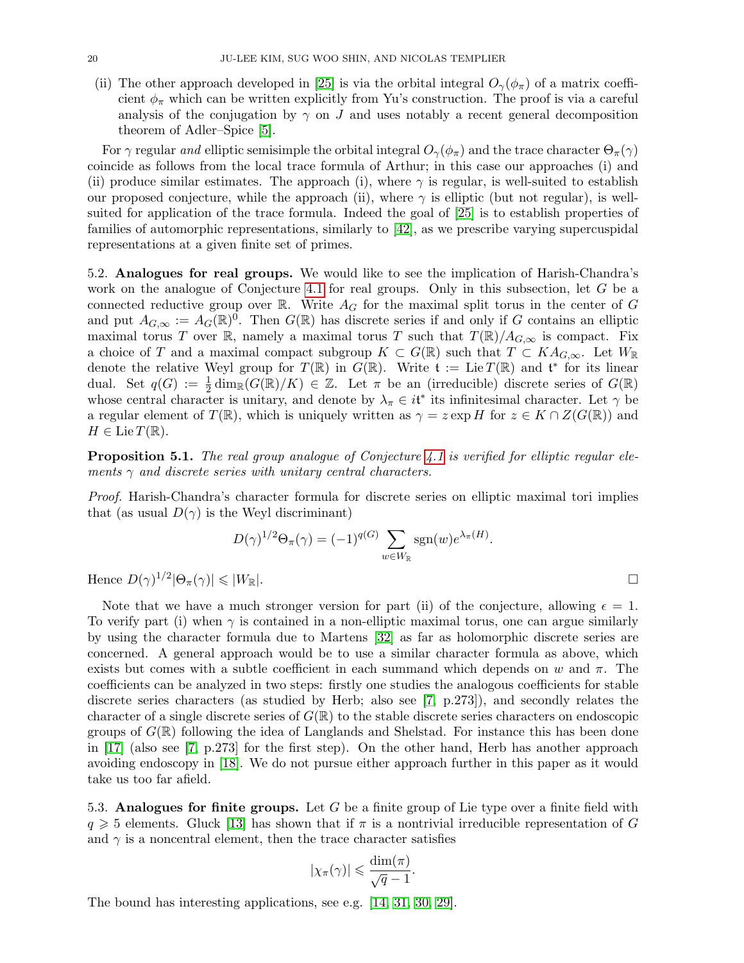(ii) The other approach developed in [\[25\]](#page-23-0) is via the orbital integral  $O_\gamma(\phi_\pi)$  of a matrix coefficient  $\phi_{\pi}$  which can be written explicitly from Yu's construction. The proof is via a careful analysis of the conjugation by  $\gamma$  on J and uses notably a recent general decomposition theorem of Adler–Spice [\[5\]](#page-22-17).

For  $\gamma$  regular and elliptic semisimple the orbital integral  $O_\gamma(\phi_\pi)$  and the trace character  $\Theta_\pi(\gamma)$ coincide as follows from the local trace formula of Arthur; in this case our approaches (i) and (ii) produce similar estimates. The approach (i), where  $\gamma$  is regular, is well-suited to establish our proposed conjecture, while the approach (ii), where  $\gamma$  is elliptic (but not regular), is wellsuited for application of the trace formula. Indeed the goal of [\[25\]](#page-23-0) is to establish properties of families of automorphic representations, similarly to [\[42\]](#page-23-18), as we prescribe varying supercuspidal representations at a given finite set of primes.

<span id="page-19-0"></span>5.2. Analogues for real groups. We would like to see the implication of Harish-Chandra's work on the analogue of Conjecture [4.1](#page-11-1) for real groups. Only in this subsection, let G be a connected reductive group over R. Write  $A_G$  for the maximal split torus in the center of G and put  $A_{G,\infty} := A_G(\mathbb{R})^0$ . Then  $G(\mathbb{R})$  has discrete series if and only if G contains an elliptic maximal torus T over R, namely a maximal torus T such that  $T(\mathbb{R})/A_{G,\infty}$  is compact. Fix a choice of T and a maximal compact subgroup  $K \subset G(\mathbb{R})$  such that  $T \subset KA_{G,\infty}$ . Let  $W_{\mathbb{R}}$ denote the relative Weyl group for  $T(\mathbb{R})$  in  $G(\mathbb{R})$ . Write  $\mathfrak{t} := \text{Lie } T(\mathbb{R})$  and  $\mathfrak{t}^*$  for its linear dual. Set  $q(G) := \frac{1}{2} \dim_{\mathbb{R}} (G(\mathbb{R})/K) \in \mathbb{Z}$ . Let  $\pi$  be an (irreducible) discrete series of  $G(\mathbb{R})$ whose central character is unitary, and denote by  $\lambda_{\pi} \in i\mathfrak{t}^*$  its infinitesimal character. Let  $\gamma$  be a regular element of  $T(\mathbb{R})$ , which is uniquely written as  $\gamma = z \exp H$  for  $z \in K \cap Z(G(\mathbb{R}))$  and  $H \in \text{Lie } T(\mathbb{R}).$ 

**Proposition 5.1.** The real group analogue of Conjecture [4.1](#page-11-1) is verified for elliptic regular elements  $\gamma$  and discrete series with unitary central characters.

Proof. Harish-Chandra's character formula for discrete series on elliptic maximal tori implies that (as usual  $D(\gamma)$  is the Weyl discriminant)

$$
D(\gamma)^{1/2}\Theta_{\pi}(\gamma) = (-1)^{q(G)} \sum_{w \in W_{\mathbb{R}}} \text{sgn}(w) e^{\lambda_{\pi}(H)}.
$$

Hence  $D(\gamma)^{1/2}|\Theta_{\pi}(\gamma)| \leqslant |W_{\mathbb{R}}|$ .

Note that we have a much stronger version for part (ii) of the conjecture, allowing  $\epsilon = 1$ . To verify part (i) when  $\gamma$  is contained in a non-elliptic maximal torus, one can argue similarly by using the character formula due to Martens [\[32\]](#page-23-19) as far as holomorphic discrete series are concerned. A general approach would be to use a similar character formula as above, which exists but comes with a subtle coefficient in each summand which depends on w and  $\pi$ . The coefficients can be analyzed in two steps: firstly one studies the analogous coefficients for stable discrete series characters (as studied by Herb; also see [\[7,](#page-22-18) p.273]), and secondly relates the character of a single discrete series of  $G(\mathbb{R})$  to the stable discrete series characters on endoscopic groups of  $G(\mathbb{R})$  following the idea of Langlands and Shelstad. For instance this has been done in [\[17\]](#page-22-19) (also see [\[7,](#page-22-18) p.273] for the first step). On the other hand, Herb has another approach avoiding endoscopy in [\[18\]](#page-22-20). We do not pursue either approach further in this paper as it would take us too far afield.

5.3. Analogues for finite groups. Let G be a finite group of Lie type over a finite field with  $q \geq 5$  elements. Gluck [\[13\]](#page-22-21) has shown that if  $\pi$  is a nontrivial irreducible representation of G and  $\gamma$  is a noncentral element, then the trace character satisfies

$$
|\chi_{\pi}(\gamma)| \leqslant \frac{\dim(\pi)}{\sqrt{q}-1}.
$$

The bound has interesting applications, see e.g. [\[14,](#page-22-22) [31,](#page-23-20) [30,](#page-23-21) [29\]](#page-23-22).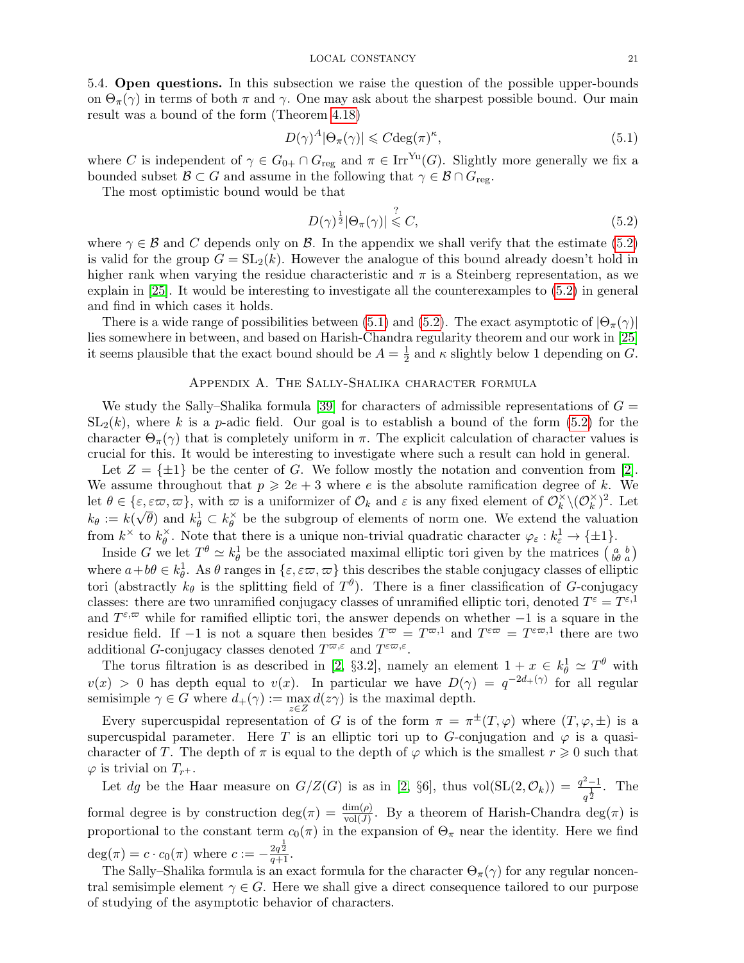5.4. Open questions. In this subsection we raise the question of the possible upper-bounds on  $\Theta_{\pi}(\gamma)$  in terms of both  $\pi$  and  $\gamma$ . One may ask about the sharpest possible bound. Our main result was a bound of the form (Theorem [4.18\)](#page-18-1)

<span id="page-20-2"></span>
$$
D(\gamma)^A |\Theta_{\pi}(\gamma)| \leqslant C \deg(\pi)^{\kappa},\tag{5.1}
$$

where C is independent of  $\gamma \in G_{0+} \cap G_{reg}$  and  $\pi \in \text{Irr}^{\text{Yu}}(G)$ . Slightly more generally we fix a bounded subset  $\mathcal{B} \subset G$  and assume in the following that  $\gamma \in \mathcal{B} \cap G_{reg}$ .

The most optimistic bound would be that

<span id="page-20-1"></span>
$$
D(\gamma)^{\frac{1}{2}}|\Theta_{\pi}(\gamma)| \stackrel{?}{\leqslant} C,\tag{5.2}
$$

where  $\gamma \in \mathcal{B}$  and C depends only on  $\mathcal{B}$ . In the appendix we shall verify that the estimate [\(5.2\)](#page-20-1) is valid for the group  $G = SL_2(k)$ . However the analogue of this bound already doesn't hold in higher rank when varying the residue characteristic and  $\pi$  is a Steinberg representation, as we explain in [\[25\]](#page-23-0). It would be interesting to investigate all the counterexamples to [\(5.2\)](#page-20-1) in general and find in which cases it holds.

There is a wide range of possibilities between [\(5.1\)](#page-20-2) and [\(5.2\)](#page-20-1). The exact asymptotic of  $|\Theta_{\pi}(\gamma)|$ lies somewhere in between, and based on Harish-Chandra regularity theorem and our work in [\[25\]](#page-23-0) it seems plausible that the exact bound should be  $A = \frac{1}{2}$  $\frac{1}{2}$  and  $\kappa$  slightly below 1 depending on G.

# Appendix A. The Sally-Shalika character formula

<span id="page-20-0"></span>We study the Sally–Shalika formula [\[39\]](#page-23-23) for characters of admissible representations of  $G =$  $SL_2(k)$ , where k is a p-adic field. Our goal is to establish a bound of the form [\(5.2\)](#page-20-1) for the character  $\Theta_{\pi}(\gamma)$  that is completely uniform in  $\pi$ . The explicit calculation of character values is crucial for this. It would be interesting to investigate where such a result can hold in general.

Let  $Z = \{\pm 1\}$  be the center of G. We follow mostly the notation and convention from [\[2\]](#page-22-1). We assume throughout that  $p \geq 2e + 3$  where e is the absolute ramification degree of k. We let  $\theta \in \{\varepsilon, \varepsilon \varpi, \varpi\}$ , with  $\varpi$  is a uniformizer of  $\mathcal{O}_k$  and  $\varepsilon$  is any fixed element of  $\mathcal{O}_k^{\times}$  $\stackrel{\times}{_k}\setminus({\mathcal O}_{k}^\times)$  $(\varepsilon, \varepsilon\varpi, \varpi)$ , with  $\varpi$  is a uniformizer of  $\mathcal{O}_k$  and  $\varepsilon$  is any fixed element of  $\mathcal{O}_k^{\times} \setminus (\mathcal{O}_k^{\times})^2$ . Let  $k_{\theta} := k(\sqrt{\theta})$  and  $k_{\theta}^1 \subset k_{\theta}^{\times}$  $\phi$  be the subgroup of elements of norm one. We extend the valuation from  $k^{\times}$  to  $k^{\times}_{\theta}$  $\phi^{\times}$ . Note that there is a unique non-trivial quadratic character  $\varphi_{\varepsilon}: k_{\varepsilon}^{1} \to {\pm 1}.$ 

Inside G we let  $T^{\theta} \simeq k_{\theta}^1$  be the associated maximal elliptic tori given by the matrices  $\begin{pmatrix} a & b \\ b\theta & a \end{pmatrix}$ where  $a+b\theta \in k_{\theta}^1$ . As  $\theta$  ranges in  $\{\varepsilon,\varepsilon\varpi,\varpi\}$  this describes the stable conjugacy classes of elliptic tori (abstractly  $k_{\theta}$  is the splitting field of  $T^{\theta}$ ). There is a finer classification of G-conjugacy classes: there are two unramified conjugacy classes of unramified elliptic tori, denoted  $T^{\varepsilon} = T^{\varepsilon,1}$ and  $T^{\varepsilon,\varpi}$  while for ramified elliptic tori, the answer depends on whether  $-1$  is a square in the residue field. If  $-1$  is not a square then besides  $T^{\varpi} = T^{\varpi,1}$  and  $T^{\varepsilon\varpi} = T^{\varepsilon\varpi,1}$  there are two additional G-conjugacy classes denoted  $T^{\varpi,\varepsilon}$  and  $T^{\varepsilon\varpi,\varepsilon}$ .

The torus filtration is as described in [\[2,](#page-22-1) §3.2], namely an element  $1 + x \in k_{\theta}^1 \simeq T^{\theta}$  with  $v(x) > 0$  has depth equal to  $v(x)$ . In particular we have  $D(\gamma) = q^{-2d+(\gamma)}$  for all regular semisimple  $\gamma \in G$  where  $d_+(\gamma) := \max_{z \in Z} d(z\gamma)$  is the maximal depth.

Every supercuspidal representation of G is of the form  $\pi = \pi^{\pm}(T,\varphi)$  where  $(T,\varphi,\pm)$  is a supercuspidal parameter. Here T is an elliptic tori up to G-conjugation and  $\varphi$  is a quasicharacter of T. The depth of  $\pi$  is equal to the depth of  $\varphi$  which is the smallest  $r \geq 0$  such that  $\varphi$  is trivial on  $T_{r+}$ .

Let dg be the Haar measure on  $G/Z(G)$  is as in [\[2,](#page-22-1) §6], thus vol $(SL(2, \mathcal{O}_k)) = \frac{q^2-1}{k}$  $\frac{z-1}{q^{\frac{1}{2}}}$ . The formal degree is by construction  $\deg(\pi) = \frac{\dim(\rho)}{\text{vol}(J)}$ . By a theorem of Harish-Chandra  $\deg(\pi)$  is proportional to the constant term  $c_0(\pi)$  in the expansion of  $\Theta_{\pi}$  near the identity. Here we find  $deg(\pi) = c \cdot c_0(\pi)$  where  $c := -\frac{2q^{\frac{1}{2}}}{q+1}.$ 

The Sally–Shalika formula is an exact formula for the character  $\Theta_{\pi}(\gamma)$  for any regular noncentral semisimple element  $\gamma \in G$ . Here we shall give a direct consequence tailored to our purpose of studying of the asymptotic behavior of characters.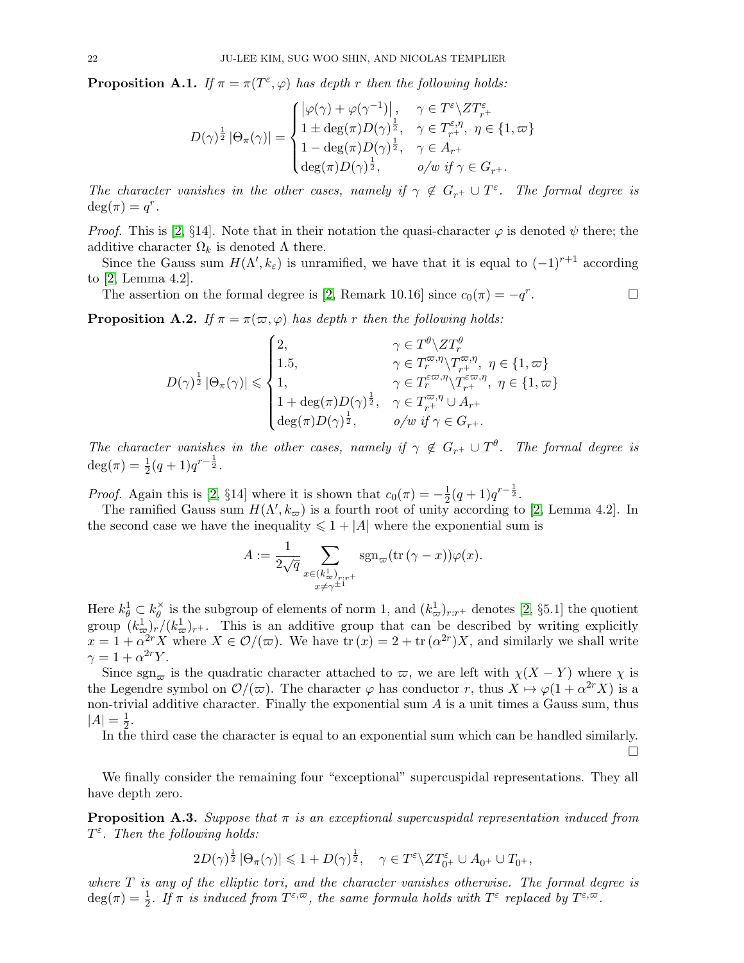<span id="page-21-0"></span>**Proposition A.1.** If  $\pi = \pi(T^{\varepsilon}, \varphi)$  has depth r then the following holds:

$$
D(\gamma)^{\frac{1}{2}} |\Theta_{\pi}(\gamma)| = \begin{cases} |\varphi(\gamma) + \varphi(\gamma^{-1})|, & \gamma \in T^{\varepsilon} \setminus ZT^{\varepsilon}_{r+} \\ 1 \pm \deg(\pi)D(\gamma)^{\frac{1}{2}}, & \gamma \in T^{\varepsilon,\eta}_{r+}, \ \eta \in \{1, \varpi\} \\ 1 - \deg(\pi)D(\gamma)^{\frac{1}{2}}, & \gamma \in A_{r+} \\ \deg(\pi)D(\gamma)^{\frac{1}{2}}, & o/w \text{ if } \gamma \in G_{r+} .\end{cases}
$$

The character vanishes in the other cases, namely if  $\gamma \notin G_{r^+} \cup T^{\varepsilon}$ . The formal degree is  $\deg(\pi) = q^r.$ 

*Proof.* This is [\[2,](#page-22-1) §14]. Note that in their notation the quasi-character  $\varphi$  is denoted  $\psi$  there; the additive character  $\Omega_k$  is denoted  $\Lambda$  there.

Since the Gauss sum  $H(\Lambda', k_{\varepsilon})$  is unramified, we have that it is equal to  $(-1)^{r+1}$  according to [\[2,](#page-22-1) Lemma 4.2].

The assertion on the formal degree is [\[2,](#page-22-1) Remark 10.16] since  $c_0(\pi) = -q^r$ . — Первый проста в сервести проста в сервести проста в сервести проста в сервести проста в сервести проста в<br>В сервести проста в сервести проста в сервести проста в сервести проста в сервести проста в сервести проста в

<span id="page-21-1"></span>**Proposition A.2.** If  $\pi = \pi(\varpi, \varphi)$  has depth r then the following holds:

$$
D(\gamma)^{\frac{1}{2}} \left|\Theta_{\pi}(\gamma)\right| \leqslant \begin{cases} 2, & \gamma \in T^{\theta} \setminus ZT^{\theta}_{r} \\ 1.5, & \gamma \in T^{\varpi,\eta}_{r} \setminus T^{\varpi,\eta}_{r^{+}}, \ \eta \in \{1, \varpi\} \\ 1, & \gamma \in T^{\varepsilon\varpi,\eta}_{r} \setminus T^{\varepsilon\varpi,\eta}_{r^{+}}, \ \eta \in \{1, \varpi\} \\ 1 + \deg(\pi)D(\gamma)^{\frac{1}{2}}, & \gamma \in T^{\varpi,\eta}_{r^{+}} \cup A_{r^{+}} \\ \deg(\pi)D(\gamma)^{\frac{1}{2}}, & o/w \ \text{if} \ \gamma \in G_{r^{+}}. \end{cases}
$$

The character vanishes in the other cases, namely if  $\gamma \notin G_{r+} \cup T^{\theta}$ . The formal degree is  $\deg(\pi) = \frac{1}{2}(q+1)q^{r-\frac{1}{2}}.$ 

*Proof.* Again this is [\[2,](#page-22-1) §14] where it is shown that  $c_0(\pi) = -\frac{1}{2}$  $\frac{1}{2}(q+1)q^{r-\frac{1}{2}}.$ 

The ramified Gauss sum  $H(\Lambda', k_\varpi)$  is a fourth root of unity according to [\[2,](#page-22-1) Lemma 4.2]. In the second case we have the inequality  $\leq 1 + |A|$  where the exponential sum is

$$
A:=\frac{1}{2\sqrt{q}}\sum_{\substack{x\in (k^1_\varpi)_{r:r^+}\\x\neq \gamma^{\pm 1}}} \operatorname{sgn}_\varpi(\operatorname{tr}\left(\gamma-x\right))\varphi(x).
$$

Here  $k_{\theta}^1 \subset k_{\theta}^{\times}$  $\frac{\delta}{\theta}$  is the subgroup of elements of norm 1, and  $(k^1_{\varpi})_{r:r^+}$  denotes [\[2,](#page-22-1) §5.1] the quotient group  $(k^1_{\varpi})_r/(k^1_{\varpi})_r$ . This is an additive group that can be described by writing explicitly  $x = 1 + \alpha^{2r} X$  where  $X \in \mathcal{O}/(\varpi)$ . We have  $\text{tr}(x) = 2 + \text{tr}(\alpha^{2r})X$ , and similarly we shall write  $\gamma = 1 + \alpha^{2r} Y.$ 

Since sgn<sub> $\varpi$ </sub> is the quadratic character attached to  $\varpi$ , we are left with  $\chi(X - Y)$  where  $\chi$  is the Legendre symbol on  $\mathcal{O}/(\varpi)$ . The character  $\varphi$  has conductor r, thus  $X \mapsto \varphi(1 + \alpha^{2r} X)$  is a non-trivial additive character. Finally the exponential sum  $A$  is a unit times a Gauss sum, thus  $|A| = \frac{1}{2}$  $rac{1}{2}$ .

In the third case the character is equal to an exponential sum which can be handled similarly.

П

We finally consider the remaining four "exceptional" supercuspidal representations. They all have depth zero.

<span id="page-21-2"></span>**Proposition A.3.** Suppose that  $\pi$  is an exceptional supercuspidal representation induced from  $T^{\varepsilon}$ . Then the following holds:

$$
2D(\gamma)^{\frac{1}{2}} |\Theta_{\pi}(\gamma)| \leqslant 1 + D(\gamma)^{\frac{1}{2}}, \quad \gamma \in T^{\varepsilon} \backslash ZT^{\varepsilon}_{0^{+}} \cup A_{0^{+}} \cup T_{0^{+}},
$$

where  $T$  is any of the elliptic tori, and the character vanishes otherwise. The formal degree is  $deg(\pi) = \frac{1}{2}$ . If  $\pi$  is induced from  $T^{\varepsilon,\varpi}$ , the same formula holds with  $T^{\varepsilon}$  replaced by  $T^{\varepsilon,\varpi}$ .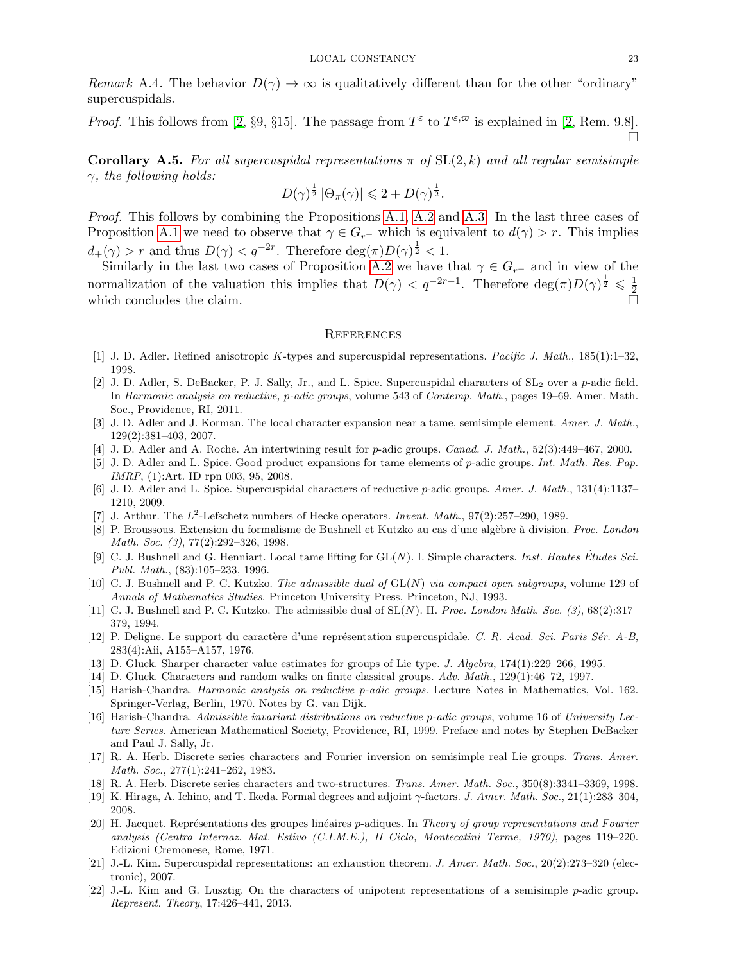Remark A.4. The behavior  $D(\gamma) \to \infty$  is qualitatively different than for the other "ordinary" supercuspidals.

*Proof.* This follows from [\[2,](#page-22-1) §9, §15]. The passage from  $T^{\varepsilon}$  to  $T^{\varepsilon,\varpi}$  is explained in [2, Rem. 9.8]. П

Corollary A.5. For all supercuspidal representations  $\pi$  of  $SL(2, k)$  and all regular semisimple  $\gamma$ , the following holds:

$$
D(\gamma)^{\frac{1}{2}} |\Theta_{\pi}(\gamma)| \leqslant 2 + D(\gamma)^{\frac{1}{2}}.
$$

Proof. This follows by combining the Propositions [A.1,](#page-21-0) [A.2](#page-21-1) and [A.3.](#page-21-2) In the last three cases of Proposition [A.1](#page-21-0) we need to observe that  $\gamma \in G_{r^+}$  which is equivalent to  $d(\gamma) > r$ . This implies  $d_{+}(\gamma) > r$  and thus  $D(\gamma) < q^{-2r}$ . Therefore  $\deg(\pi)D(\gamma)^{\frac{1}{2}} < 1$ .

Similarly in the last two cases of Proposition [A.2](#page-21-1) we have that  $\gamma \in G_{r^+}$  and in view of the normalization of the valuation this implies that  $D(\gamma) < q^{-2r-1}$ . Therefore  $\deg(\pi)D(\gamma)^{\frac{1}{2}} \leq \frac{1}{2}$ 2 which concludes the claim.

## <span id="page-22-0"></span>**REFERENCES**

- <span id="page-22-8"></span>[1] J. D. Adler. Refined anisotropic K-types and supercuspidal representations. Pacific J. Math., 185(1):1–32, 1998.
- <span id="page-22-1"></span>[2] J. D. Adler, S. DeBacker, P. J. Sally, Jr., and L. Spice. Supercuspidal characters of  $SL_2$  over a p-adic field. In Harmonic analysis on reductive, p-adic groups, volume 543 of Contemp. Math., pages 19–69. Amer. Math. Soc., Providence, RI, 2011.
- <span id="page-22-4"></span>[3] J. D. Adler and J. Korman. The local character expansion near a tame, semisimple element. Amer. J. Math., 129(2):381–403, 2007.
- <span id="page-22-9"></span>[4] J. D. Adler and A. Roche. An intertwining result for p-adic groups. Canad. J. Math., 52(3):449–467, 2000.
- <span id="page-22-17"></span>[5] J. D. Adler and L. Spice. Good product expansions for tame elements of p-adic groups. Int. Math. Res. Pap. IMRP, (1):Art. ID rpn 003, 95, 2008.
- <span id="page-22-2"></span>[6] J. D. Adler and L. Spice. Supercuspidal characters of reductive p-adic groups. Amer. J. Math., 131(4):1137– 1210, 2009.
- <span id="page-22-18"></span>[7] J. Arthur. The  $L^2$ -Lefschetz numbers of Hecke operators. *Invent. Math.*,  $97(2):257-290$ , 1989.
- <span id="page-22-12"></span>[8] P. Broussous. Extension du formalisme de Bushnell et Kutzko au cas d'une algèbre à division. Proc. London Math. Soc. (3), 77(2):292-326, 1998.
- <span id="page-22-13"></span>[9] C. J. Bushnell and G. Henniart. Local tame lifting for  $GL(N)$ . I. Simple characters. *Inst. Hautes Etudes Sci.* Publ. Math., (83):105–233, 1996.
- <span id="page-22-10"></span>[10] C. J. Bushnell and P. C. Kutzko. The admissible dual of  $GL(N)$  via compact open subgroups, volume 129 of Annals of Mathematics Studies. Princeton University Press, Princeton, NJ, 1993.
- <span id="page-22-11"></span>[11] C. J. Bushnell and P. C. Kutzko. The admissible dual of  $SL(N)$ . II. *Proc. London Math. Soc.* (3), 68(2):317– 379, 1994.
- <span id="page-22-16"></span>[12] P. Deligne. Le support du caractère d'une représentation supercuspidale. C. R. Acad. Sci. Paris Sér. A-B, 283(4):Aii, A155–A157, 1976.
- <span id="page-22-21"></span>[13] D. Gluck. Sharper character value estimates for groups of Lie type. J. Algebra, 174(1):229–266, 1995.
- <span id="page-22-22"></span>[14] D. Gluck. Characters and random walks on finite classical groups. Adv. Math., 129(1):46–72, 1997.
- <span id="page-22-5"></span>[15] Harish-Chandra. Harmonic analysis on reductive p-adic groups. Lecture Notes in Mathematics, Vol. 162. Springer-Verlag, Berlin, 1970. Notes by G. van Dijk.
- <span id="page-22-6"></span>[16] Harish-Chandra. Admissible invariant distributions on reductive p-adic groups, volume 16 of University Lecture Series. American Mathematical Society, Providence, RI, 1999. Preface and notes by Stephen DeBacker and Paul J. Sally, Jr.
- <span id="page-22-19"></span>[17] R. A. Herb. Discrete series characters and Fourier inversion on semisimple real Lie groups. Trans. Amer. Math. Soc., 277(1):241–262, 1983.
- <span id="page-22-20"></span>[18] R. A. Herb. Discrete series characters and two-structures. Trans. Amer. Math. Soc., 350(8):3341–3369, 1998.
- <span id="page-22-14"></span>[19] K. Hiraga, A. Ichino, and T. Ikeda. Formal degrees and adjoint  $\gamma$ -factors. J. Amer. Math. Soc., 21(1):283–304, 2008.
- <span id="page-22-15"></span>[20] H. Jacquet. Représentations des groupes linéaires p-adiques. In Theory of group representations and Fourier analysis (Centro Internaz. Mat. Estivo (C.I.M.E.), II Ciclo, Montecatini Terme, 1970), pages 119–220. Edizioni Cremonese, Rome, 1971.
- <span id="page-22-3"></span>[21] J.-L. Kim. Supercuspidal representations: an exhaustion theorem. J. Amer. Math. Soc., 20(2):273–320 (electronic), 2007.
- <span id="page-22-7"></span>[22] J.-L. Kim and G. Lusztig. On the characters of unipotent representations of a semisimple p-adic group. Represent. Theory, 17:426–441, 2013.